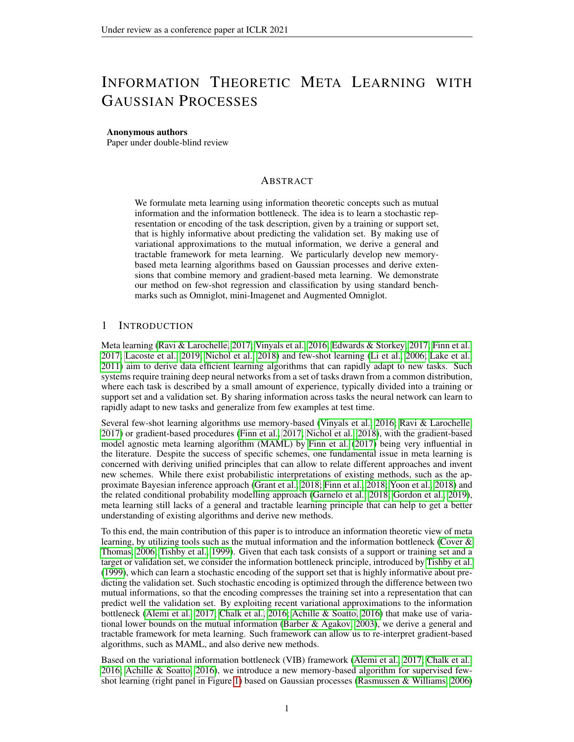# INFORMATION THEORETIC META LEARNING WITH GAUSSIAN PROCESSES

#### Anonymous authors

Paper under double-blind review

# ABSTRACT

We formulate meta learning using information theoretic concepts such as mutual information and the information bottleneck. The idea is to learn a stochastic representation or encoding of the task description, given by a training or support set, that is highly informative about predicting the validation set. By making use of variational approximations to the mutual information, we derive a general and tractable framework for meta learning. We particularly develop new memorybased meta learning algorithms based on Gaussian processes and derive extensions that combine memory and gradient-based meta learning. We demonstrate our method on few-shot regression and classification by using standard benchmarks such as Omniglot, mini-Imagenet and Augmented Omniglot.

# 1 INTRODUCTION

Meta learning [\(Ravi & Larochelle, 2017;](#page-10-0) [Vinyals et al., 2016;](#page-10-1) [Edwards & Storkey, 2017;](#page-9-0) [Finn et al.,](#page-9-1) [2017;](#page-9-1) [Lacoste et al., 2019;](#page-10-2) [Nichol et al., 2018\)](#page-10-3) and few-shot learning [\(Li et al., 2006;](#page-10-4) [Lake et al.,](#page-10-5) [2011\)](#page-10-5) aim to derive data efficient learning algorithms that can rapidly adapt to new tasks. Such systems require training deep neural networks from a set of tasks drawn from a common distribution, where each task is described by a small amount of experience, typically divided into a training or support set and a validation set. By sharing information across tasks the neural network can learn to rapidly adapt to new tasks and generalize from few examples at test time.

Several few-shot learning algorithms use memory-based [\(Vinyals et al., 2016;](#page-10-1) [Ravi & Larochelle,](#page-10-0) [2017\)](#page-10-0) or gradient-based procedures [\(Finn et al., 2017;](#page-9-1) [Nichol et al., 2018\)](#page-10-3), with the gradient-based model agnostic meta learning algorithm (MAML) by [Finn et al.](#page-9-1) [\(2017\)](#page-9-1) being very influential in the literature. Despite the success of specific schemes, one fundamental issue in meta learning is concerned with deriving unified principles that can allow to relate different approaches and invent new schemes. While there exist probabilistic interpretations of existing methods, such as the approximate Bayesian inference approach [\(Grant et al., 2018;](#page-9-2) [Finn et al., 2018;](#page-9-3) [Yoon et al., 2018\)](#page-11-0) and the related conditional probability modelling approach [\(Garnelo et al., 2018;](#page-9-4) [Gordon et al., 2019\)](#page-9-5), meta learning still lacks of a general and tractable learning principle that can help to get a better understanding of existing algorithms and derive new methods.

To this end, the main contribution of this paper is to introduce an information theoretic view of meta learning, by utilizing tools such as the mutual information and the information bottleneck [\(Cover &](#page-9-6) [Thomas, 2006;](#page-9-6) [Tishby et al., 1999\)](#page-10-6). Given that each task consists of a support or training set and a target or validation set, we consider the information bottleneck principle, introduced by [Tishby et al.](#page-10-6) [\(1999\)](#page-10-6), which can learn a stochastic encoding of the support set that is highly informative about predicting the validation set. Such stochastic encoding is optimized through the difference between two mutual informations, so that the encoding compresses the training set into a representation that can predict well the validation set. By exploiting recent variational approximations to the information bottleneck [\(Alemi et al., 2017;](#page-9-7) [Chalk et al., 2016;](#page-9-8) [Achille & Soatto, 2016\)](#page-9-9) that make use of variational lower bounds on the mutual information [\(Barber & Agakov, 2003\)](#page-9-10), we derive a general and tractable framework for meta learning. Such framework can allow us to re-interpret gradient-based algorithms, such as MAML, and also derive new methods.

Based on the variational information bottleneck (VIB) framework [\(Alemi et al., 2017;](#page-9-7) [Chalk et al.,](#page-9-8) [2016;](#page-9-8) [Achille & Soatto, 2016\)](#page-9-9), we introduce a new memory-based algorithm for supervised fewshot learning (right panel in Figure [1\)](#page-1-0) based on Gaussian processes [\(Rasmussen & Williams, 2006\)](#page-10-7)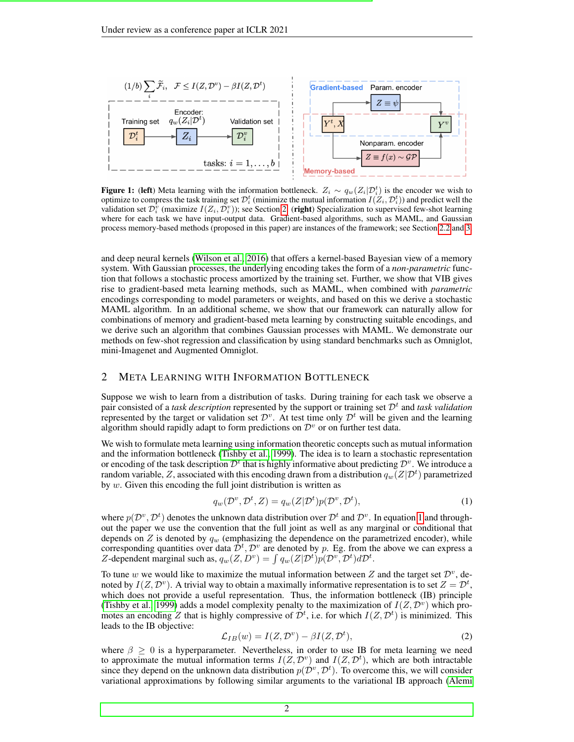<span id="page-1-0"></span>

**Figure 1:** (left) Meta learning with the information bottleneck.  $Z_i \sim q_w(Z_i | \mathcal{D}_i^t)$  is the encoder we wish to optimize to compress the task training set  $\mathcal{D}_i^t$  (minimize the mutual information  $I(Z_i,\mathcal{D}_i^t))$  and predict well the validation set  $\mathcal{D}_i^{\tilde{v}}$  (maximize  $I(Z_i, \mathcal{D}_i^v)$ ); see Section [2.](#page-1-1) (right) Specialization to supervised few-shot learning where for each task we have input-output data. Gradient-based algorithms, such as MAML, and Gaussian process memory-based methods (proposed in this paper) are instances of the framework; see Section [2.2](#page-2-0) and [3.](#page-3-0)

and deep neural kernels [\(Wilson et al., 2016\)](#page-11-1) that offers a kernel-based Bayesian view of a memory system. With Gaussian processes, the underlying encoding takes the form of a *non-parametric* function that follows a stochastic process amortized by the training set. Further, we show that VIB gives rise to gradient-based meta learning methods, such as MAML, when combined with *parametric* encodings corresponding to model parameters or weights, and based on this we derive a stochastic MAML algorithm. In an additional scheme, we show that our framework can naturally allow for combinations of memory and gradient-based meta learning by constructing suitable encodings, and we derive such an algorithm that combines Gaussian processes with MAML. We demonstrate our methods on few-shot regression and classification by using standard benchmarks such as Omniglot, mini-Imagenet and Augmented Omniglot.

## <span id="page-1-1"></span>2 META LEARNING WITH INFORMATION BOTTLENECK

Suppose we wish to learn from a distribution of tasks. During training for each task we observe a pair consisted of a *task description* represented by the support or training set  $\mathcal{D}^t$  and *task validation* represented by the target or validation set  $\mathcal{D}^v$ . At test time only  $\mathcal{D}^t$  will be given and the learning algorithm should rapidly adapt to form predictions on  $\mathcal{D}^v$  or on further test data.

We wish to formulate meta learning using information theoretic concepts such as mutual information and the information bottleneck [\(Tishby et al., 1999\)](#page-10-6). The idea is to learn a stochastic representation or encoding of the task description  $\mathcal{D}^t$  that is highly informative about predicting  $\mathcal{D}^v$ . We introduce a random variable,  $Z$ , associated with this encoding drawn from a distribution  $q_w\tilde(Z|\mathcal{D}^t)$  parametrized by  $w$ . Given this encoding the full joint distribution is written as

<span id="page-1-2"></span>
$$
q_w(\mathcal{D}^v, \mathcal{D}^t, Z) = q_w(Z|\mathcal{D}^t)p(\mathcal{D}^v, \mathcal{D}^t),
$$
\n(1)

where  $p(\mathcal{D}^v, \mathcal{D}^t)$  denotes the unknown data distribution over  $\mathcal{D}^t$  and  $\mathcal{D}^v$ . In equation [1](#page-1-2) and throughout the paper we use the convention that the full joint as well as any marginal or conditional that depends on Z is denoted by  $q_w$  (emphasizing the dependence on the parametrized encoder), while corresponding quantities over data  $\bar{\mathcal{D}}^t$ ,  $\mathcal{D}^v$  are denoted by p. Eg. from the above we can express a Z-dependent marginal such as,  $q_w(Z, D^v) = \int q_w(Z|D^t)p(D^v, D^t)dD^t$ .

To tune w we would like to maximize the mutual information between Z and the target set  $\mathcal{D}^v$ , denoted by  $I(Z, \mathcal{D}^v)$ . A trivial way to obtain a maximally informative representation is to set  $Z = \mathcal{D}^t$ , which does not provide a useful representation. Thus, the information bottleneck (IB) principle [\(Tishby et al., 1999\)](#page-10-6) adds a model complexity penalty to the maximization of  $I(Z, \mathcal{D}^v)$  which promotes an encoding Z that is highly compressive of  $\mathcal{D}^t$ , i.e. for which  $I(Z, \mathcal{D}^t)$  is minimized. This leads to the IB objective:

$$
\mathcal{L}_{IB}(w) = I(Z, \mathcal{D}^v) - \beta I(Z, \mathcal{D}^t),\tag{2}
$$

where  $\beta \geq 0$  is a hyperparameter. Nevertheless, in order to use IB for meta learning we need to approximate the mutual information terms  $I(Z, \mathcal{D}^v)$  and  $I(Z, \mathcal{D}^t)$ , which are both intractable since they depend on the unknown data distribution  $p(D^v, D^t)$ . To overcome this, we will consider variational approximations by following similar arguments to the variational IB approach [\(Alemi](#page-9-7)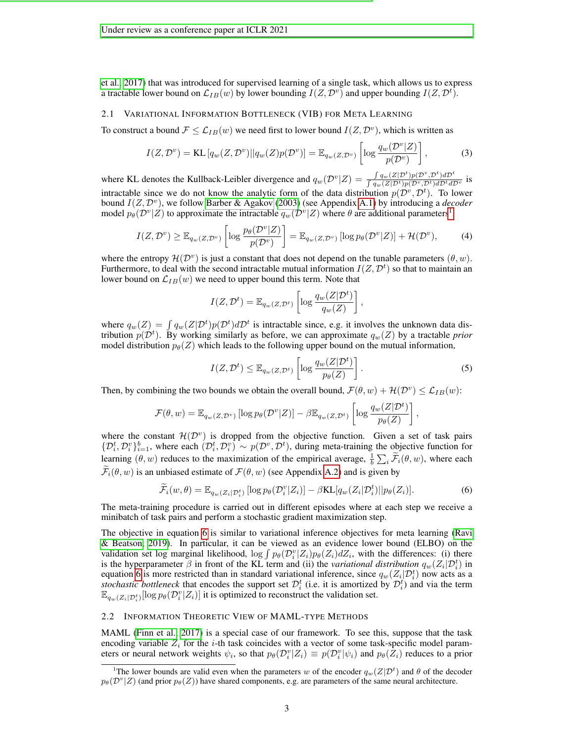[et al., 2017\)](#page-9-7) that was introduced for supervised learning of a single task, which allows us to express a tractable lower bound on  $\mathcal{L}_{IB}(w)$  by lower bounding  $I(Z, \mathcal{D}^v)$  and upper bounding  $I(Z, \mathcal{D}^t)$ .

## <span id="page-2-3"></span>2.1 VARIATIONAL INFORMATION BOTTLENECK (VIB) FOR META LEARNING

To construct a bound  $\mathcal{F} \leq \mathcal{L}_{IB}(w)$  we need first to lower bound  $I(Z, \mathcal{D}^v)$ , which is written as

$$
I(Z, \mathcal{D}^v) = \text{KL}\left[q_w(Z, \mathcal{D}^v) || q_w(Z)p(\mathcal{D}^v)\right] = \mathbb{E}_{q_w(Z, \mathcal{D}^v)}\left[\log \frac{q_w(\mathcal{D}^v | Z)}{p(\mathcal{D}^v)}\right],\tag{3}
$$

where KL denotes the Kullback-Leibler divergence and  $q_w(\mathcal{D}^v|Z) = \frac{\int q_w(Z|\mathcal{D}^t)p(\mathcal{D}^v,\mathcal{D}^t)d\mathcal{D}^t}{\int q_w(Z|\mathcal{D}^t)p(\mathcal{D}^v,\mathcal{D}^t)d\mathcal{D}^t d\mathcal{D}^t}$  $\frac{\int q_w(Z|\mathcal{D}^t)p(\mathcal{D}^t,\mathcal{D}^t)d\mathcal{D}^t}{\int q_w(Z|\mathcal{D}^t)p(\mathcal{D}^v,\mathcal{D}^t)d\mathcal{D}^t d\mathcal{D}^v}$  is intractable since we do not know the analytic form of the data distribution  $p(\mathcal{D}^v, \mathcal{D}^t)$ . To lower bound  $I(Z, \mathcal{D}^v)$ , we follow [Barber & Agakov](#page-9-10) [\(2003\)](#page-9-10) (see Appendix [A.1\)](#page-12-0) by introducing a *decoder* model  $p_{\theta}(\mathcal{D}^v|Z)$  to approximate the intractable  $q_w(\mathcal{D}^v|Z)$  where  $\theta$  are additional parameters<sup>[1](#page-2-1)</sup>,

$$
I(Z, \mathcal{D}^v) \geq \mathbb{E}_{q_w(Z, \mathcal{D}^v)} \left[ \log \frac{p_\theta(\mathcal{D}^v | Z)}{p(\mathcal{D}^v)} \right] = \mathbb{E}_{q_w(Z, \mathcal{D}^v)} \left[ \log p_\theta(\mathcal{D}^v | Z) \right] + \mathcal{H}(\mathcal{D}^v),\tag{4}
$$

where the entropy  $\mathcal{H}(\mathcal{D}^v)$  is just a constant that does not depend on the tunable parameters  $(\theta, w)$ . Furthermore, to deal with the second intractable mutual information  $I(Z, \mathcal{D}^t)$  so that to maintain an lower bound on  $\mathcal{L}_{IB}(w)$  we need to upper bound this term. Note that

$$
I(Z, \mathcal{D}^t) = \mathbb{E}_{q_w(Z, \mathcal{D}^t)} \left[ \log \frac{q_w(Z|\mathcal{D}^t)}{q_w(Z)} \right],
$$

where  $q_w(Z) = \int q_w(Z|\mathcal{D}^t) p(\mathcal{D}^t) d\mathcal{D}^t$  is intractable since, e.g. it involves the unknown data distribution  $p(\mathcal{D}^t)$ . By working similarly as before, we can approximate  $q_w(Z)$  by a tractable *prior* model distribution  $p_{\theta}(Z)$  which leads to the following upper bound on the mutual information,

$$
I(Z, \mathcal{D}^t) \leq \mathbb{E}_{q_w(Z, \mathcal{D}^t)} \left[ \log \frac{q_w(Z|\mathcal{D}^t)}{p_\theta(Z)} \right]. \tag{5}
$$

Then, by combining the two bounds we obtain the overall bound,  $\mathcal{F}(\theta, w) + \mathcal{H}(\mathcal{D}^v) \le \mathcal{L}_{IB}(w)$ :

$$
\mathcal{F}(\theta, w) = \mathbb{E}_{q_w(Z, \mathcal{D}^v)} [\log p_\theta(\mathcal{D}^v | Z)] - \beta \mathbb{E}_{q_w(Z, \mathcal{D}^t)} \left[ \log \frac{q_w(Z | \mathcal{D}^t)}{p_\theta(Z)} \right],
$$

where the constant  $\mathcal{H}(\mathcal{D}^v)$  is dropped from the objective function. Given a set of task pairs  $\{\mathcal{D}_i^t, \mathcal{D}_i^v\}_{i=1}^b$ , where each  $(\mathcal{D}_i^t, \mathcal{D}_i^v) \sim p(\mathcal{D}^v, \mathcal{D}^t)$ , during meta-training the objective function for learning  $(\theta, w)$  reduces to the maximization of the empirical average,  $\frac{1}{b} \sum_i \widetilde{\mathcal{F}}_i(\theta, w)$ , where each  $\mathcal{F}_i(\theta, w)$  is an unbiased estimate of  $\mathcal{F}(\theta, w)$  (see Appendix [A.2\)](#page-12-1) and is given by

<span id="page-2-2"></span>
$$
\widetilde{\mathcal{F}}_i(w,\theta) = \mathbb{E}_{q_w(Z_i|\mathcal{D}_i^t)}\left[ \log p_\theta(\mathcal{D}_i^v|Z_i) \right] - \beta \text{KL}[q_w(Z_i|\mathcal{D}_i^t)||p_\theta(Z_i)].\tag{6}
$$

The meta-training procedure is carried out in different episodes where at each step we receive a minibatch of task pairs and perform a stochastic gradient maximization step.

The objective in equation [6](#page-2-2) is similar to variational inference objectives for meta learning [\(Ravi](#page-10-8) [& Beatson, 2019\)](#page-10-8). In particular, it can be viewed as an evidence lower bound (ELBO) on the validation set log marginal likelihood,  $\log \int p_{\theta}(\mathcal{D}_{i}^{v}|Z_{i})p_{\theta}(Z_{i})dZ_{i}$ , with the differences: (i) there is the hyperparameter  $\beta$  in front of the KL term and (ii) the *variational distribution*  $q_w(Z_i|\mathcal{D}_i^t)$  in equation [6](#page-2-2) is more restricted than in standard variational inference, since  $q_w(Z_i|\mathcal{D}_i^t)$  now acts as a stochastic bottleneck that encodes the support set  $\mathcal{D}_i^t$  (i.e. it is amortized by  $\mathcal{D}_i^t$ ) and via the term  $\mathbb{E}_{q_w(Z_i|\mathcal{D}_{i}^{t})}[\log p_{\theta}(\mathcal{D}_{i}^{v}|Z_i)]$  it is optimized to reconstruct the validation set.

#### <span id="page-2-0"></span>2.2 INFORMATION THEORETIC VIEW OF MAML-TYPE METHODS

MAML [\(Finn et al., 2017\)](#page-9-1) is a special case of our framework. To see this, suppose that the task encoding variable  $Z_i$  for the i-th task coincides with a vector of some task-specific model parameters or neural network weights  $\psi_i$ , so that  $p_\theta(\mathcal{D}_i^v | Z_i) \equiv p(\mathcal{D}_i^v | \psi_i)$  and  $p_\theta(\tilde{Z}_i)$  reduces to a prior

<span id="page-2-1"></span><sup>&</sup>lt;sup>1</sup>The lower bounds are valid even when the parameters w of the encoder  $q_w(Z|D^t)$  and  $\theta$  of the decoder  $p_\theta(\mathcal{D}^v|Z)$  (and prior  $p_\theta(Z)$ ) have shared components, e.g. are parameters of the same neural architecture.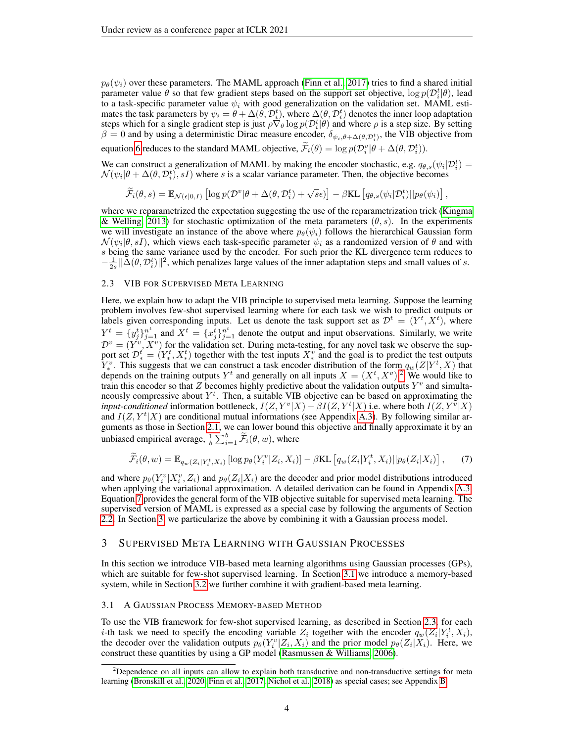$p_{\theta}(\psi_i)$  over these parameters. The MAML approach [\(Finn et al., 2017\)](#page-9-1) tries to find a shared initial parameter value  $\theta$  so that few gradient steps based on the support set objective,  $\log p(\mathcal{D}_i^t|\theta)$ , lead to a task-specific parameter value  $\psi_i$  with good generalization on the validation set. MAML estimates the task parameters by  $\psi_i = \theta + \Delta(\theta, \mathcal{D}_i^t)$ , where  $\Delta(\theta, \mathcal{D}_i^t)$  denotes the inner loop adaptation steps which for a single gradient step is just  $\rho \nabla_{\theta} \log p(\mathcal{D}_i^t | \theta)$  and where  $\rho$  is a step size. By setting  $\beta = 0$  and by using a deterministic Dirac measure encoder,  $\delta_{\psi_i, \theta + \Delta(\theta, \mathcal{D}_i^t)}$ , the VIB objective from

equation [6](#page-2-2) reduces to the standard MAML objective,  $\tilde{\mathcal{F}}_i(\theta) = \log p(\mathcal{D}_i^v | \theta + \Delta(\theta, \mathcal{D}_i^t)).$ 

We can construct a generalization of MAML by making the encoder stochastic, e.g.  $q_{\theta,s}(\psi_i|\mathcal{D}_i^t)$  $\mathcal{N}(\psi_i|\theta + \Delta(\theta, \mathcal{D}_i^t), sI)$  where s is a scalar variance parameter. Then, the objective becomes

<span id="page-3-2"></span>
$$
\widetilde{\mathcal{F}}_i(\theta, s) = \mathbb{E}_{\mathcal{N}(\epsilon|0, I)} \left[ \log p(\mathcal{D}^v | \theta + \Delta(\theta, \mathcal{D}_i^t) + \sqrt{s}\epsilon) \right] - \beta \text{KL} \left[ q_{\theta, s}(\psi_i | \mathcal{D}_i^t) || p_{\theta}(\psi_i) \right],
$$

where we reparametrized the expectation suggesting the use of the reparametrization trick [\(Kingma](#page-10-9) [& Welling, 2013\)](#page-10-9) for stochastic optimization of the meta parameters  $(\theta, s)$ . In the experiments we will investigate an instance of the above where  $p_{\theta}(\psi_i)$  follows the hierarchical Gaussian form  $\mathcal{N}(\psi_i|\theta, sI)$ , which views each task-specific parameter  $\psi_i$  as a randomized version of  $\theta$  and with s being the same variance used by the encoder. For such prior the KL divergence term reduces to  $-\frac{1}{2s} \|\tilde{\Delta}(\theta, \mathcal{D}_i^t)\|^2$ , which penalizes large values of the inner adaptation steps and small values of s.

#### <span id="page-3-4"></span>2.3 VIB FOR SUPERVISED META LEARNING

Here, we explain how to adapt the VIB principle to supervised meta learning. Suppose the learning problem involves few-shot supervised learning where for each task we wish to predict outputs or labels given corresponding inputs. Let us denote the task support set as  $\mathcal{D}^t = (Y^t, X^t)$ , where  $Y^t = \{y_j^t\}_{j=1}^{n^t}$  and  $X^t = \{x_j^t\}_{j=1}^{n^t}$  denote the output and input observations. Similarly, we write  $\mathcal{D}^v = (Y^v, X^v)$  for the validation set. During meta-testing, for any novel task we observe the support set  $\mathcal{D}_{*}^{t} = (Y_{*}^{t}, X_{*}^{t})$  together with the test inputs  $X_{*}^{v}$  and the goal is to predict the test outputs  $Y^v_*$ . This suggests that we can construct a task encoder distribution of the form  $q_w(Z|Y^t, X)$  that depends on the training outputs  $Y^t$  and generally on all inputs  $X = (X^t, X^v)$ .<sup>[2](#page-3-1)</sup> We would like to train this encoder so that Z becomes highly predictive about the validation outputs  $Y^v$  and simultaneously compressive about  $Y^t$ . Then, a suitable VIB objective can be based on approximating the *input-conditioned* information bottleneck,  $I(Z, Y^v|X) - \beta I(Z, Y^t|X)$  i.e. where both  $I(Z, Y^v|X)$ and  $I(Z, Y^t | X)$  are conditional mutual informations (see Appendix [A.3\)](#page-13-0). By following similar arguments as those in Section [2.1,](#page-2-3) we can lower bound this objective and finally approximate it by an unbiased empirical average,  $\frac{1}{b} \sum_{i=1}^{b} \widetilde{\mathcal{F}}_i(\theta, w)$ , where

$$
\widetilde{\mathcal{F}}_i(\theta, w) = \mathbb{E}_{q_w(Z_i|Y_i^t, X_i)} \left[ \log p_\theta(Y_i^v|Z_i, X_i) \right] - \beta \text{KL} \left[ q_w(Z_i|Y_i^t, X_i) || p_\theta(Z_i|X_i) \right],\tag{7}
$$

and where  $p_{\theta}(Y_i^v | X_i^v, Z_i)$  and  $p_{\theta}(Z_i | X_i)$  are the decoder and prior model distributions introduced when applying the variational approximation. A detailed derivation can be found in Appendix [A.3.](#page-13-0) Equation [7](#page-3-2) provides the general form of the VIB objective suitable for supervised meta learning. The supervised version of MAML is expressed as a special case by following the arguments of Section [2.2.](#page-2-0) In Section [3,](#page-3-0) we particularize the above by combining it with a Gaussian process model.

## <span id="page-3-0"></span>3 SUPERVISED META LEARNING WITH GAUSSIAN PROCESSES

In this section we introduce VIB-based meta learning algorithms using Gaussian processes (GPs), which are suitable for few-shot supervised learning. In Section [3.1](#page-3-3) we introduce a memory-based system, while in Section [3.2](#page-4-0) we further combine it with gradient-based meta learning.

#### <span id="page-3-3"></span>3.1 A GAUSSIAN PROCESS MEMORY-BASED METHOD

To use the VIB framework for few-shot supervised learning, as described in Section [2.3,](#page-3-4) for each *i*-th task we need to specify the encoding variable  $Z_i$  together with the encoder  $q_w(Z_i|Y_i^t, X_i)$ , the decoder over the validation outputs  $p_{\theta}(Y_i^v | Z_i, X_i)$  and the prior model  $p_{\theta}(Z_i | X_i)$ . Here, we construct these quantities by using a GP model [\(Rasmussen & Williams, 2006\)](#page-10-7).

<span id="page-3-1"></span><sup>&</sup>lt;sup>2</sup>Dependence on all inputs can allow to explain both transductive and non-transductive settings for meta learning [\(Bronskill et al., 2020;](#page-9-11) [Finn et al., 2017;](#page-9-1) [Nichol et al., 2018\)](#page-10-3) as special cases; see Appendix [B.](#page-15-0)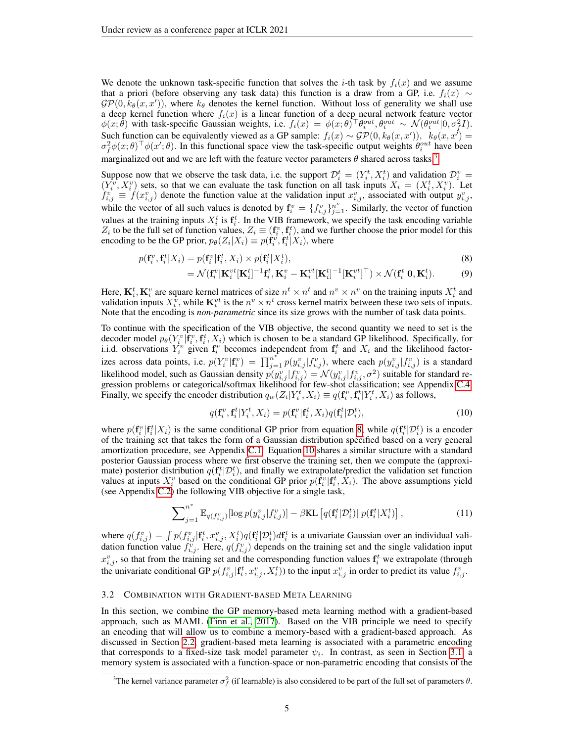We denote the unknown task-specific function that solves the *i*-th task by  $f_i(x)$  and we assume that a priori (before observing any task data) this function is a draw from a GP, i.e.  $f_i(x) \sim$  $\mathcal{GP}(0, k_\theta(x, x'))$ , where  $k_\theta$  denotes the kernel function. Without loss of generality we shall use a deep kernel function where  $f_i(x)$  is a linear function of a deep neural network feature vector  $\phi(x;\hat{\theta})$  with task-specific Gaussian weights, i.e.  $f_i(x) = \phi(x;\theta)^{\top} \theta_i^{out}, \theta_i^{out} \sim \mathcal{N}(\theta_i^{out}|0,\sigma_f^2 I)$ . Such function can be equivalently viewed as a GP sample:  $f_i(x) \sim \mathcal{GP}(0, k_{\theta}(x, x'))$ ,  $k_{\theta}(x, x') =$  $\sigma_f^2 \phi(x;\theta)^\top \phi(x';\theta)$ . In this functional space view the task-specific output weights  $\theta_i^{out}$  have been marginalized out and we are left with the feature vector parameters  $\theta$  shared across tasks.<sup>[3](#page-4-1)</sup>

Suppose now that we observe the task data, i.e. the support  $\mathcal{D}_i^t = (Y_i^t, X_i^t)$  and validation  $\mathcal{D}_i^v =$  $(Y_i^v, X_i^v)$  sets, so that we can evaluate the task function on all task inputs  $X_i = (X_i^t, X_i^v)$ . Let  $f_{i,j}^v \equiv f(x_{i,j}^v)$  denote the function value at the validation input  $x_{i,j}^v$ , associated with output  $y_{i,j}^v$ , while the vector of all such values is denoted by  $\mathbf{f}_i^v = \{f_{i,j}^v\}_{j=1}^{n^v}$ . Similarly, the vector of function values at the training inputs  $X_i^t$  is  $\mathbf{f}_i^t$ . In the VIB framework, we specify the task encoding variable  $Z_i$  to be the full set of function values,  $Z_i \equiv (\mathbf{f}_i^v, \mathbf{f}_i^t)$ , and we further choose the prior model for this encoding to be the GP prior,  $p_{\theta}(Z_i|X_i) \equiv p(\hat{\mathbf{f}}_i^v, \hat{\mathbf{f}}_i^t | X_i)$ , where

$$
p(\mathbf{f}_i^v, \mathbf{f}_i^t | X_i) = p(\mathbf{f}_i^v | \mathbf{f}_i^t, X_i) \times p(\mathbf{f}_i^t | X_i^t),
$$
\n(8)

<span id="page-4-2"></span>
$$
= \mathcal{N}(\mathbf{f}_i^v | \mathbf{K}_i^{vt} [\mathbf{K}_i^t]^{-1} \mathbf{f}_i^t, \mathbf{K}_i^v - \mathbf{K}_i^{vt} [\mathbf{K}_i^t]^{-1} [\mathbf{K}_i^{vt}]^\top) \times \mathcal{N}(\mathbf{f}_i^t | \mathbf{0}, \mathbf{K}_i^t). \tag{9}
$$

Here,  $\mathbf{K}_i^t$ ,  $\mathbf{K}_i^v$  are square kernel matrices of size  $n^t \times n^t$  and  $n^v \times n^v$  on the training inputs  $X_i^t$  and validation inputs  $X_i^{\hat{v}}$ , while  $\mathbf{K}_i^{vt}$  is the  $n^v \times n^t$  cross kernel matrix between these two sets of inputs. Note that the encoding is *non-parametric* since its size grows with the number of task data points.

To continue with the specification of the VIB objective, the second quantity we need to set is the decoder model  $p_\theta(Y_i^v | \mathbf{f}_i^v, \mathbf{f}_i^t, X_i)$  which is chosen to be a standard GP likelihood. Specifically, for i.i.d. observations  $Y_i^v$  given  $\mathbf{f}_i^v$  becomes independent from  $\mathbf{f}_i^t$  and  $X_i$  and the likelihood factorizes across data points, i.e.  $p(Y_i^v | \mathbf{f}_i^v) = \prod_{j=1}^{n^v} p(y_{i,j}^v | f_{i,j}^v)$ , where each  $p(y_{i,j}^v | f_{i,j}^v)$  is a standard likelihood model, such as Gaussian density  $p(y_{i,j}^v | f_{i,j}^v) = \mathcal{N}(y_{i,j}^v | f_{i,j}^v, \sigma^2)$  suitable for standard regression problems or categorical/softmax likelihood for few-shot classification; see Appendix [C.4.](#page-18-0) Finally, we specify the encoder distribution  $q_w(Z_i|Y_i^t, X_i) \equiv q(\mathbf{f}_i^v, \mathbf{f}_i^t | Y_i^t, X_i)$  as follows,

<span id="page-4-4"></span><span id="page-4-3"></span>
$$
q(\mathbf{f}_i^v, \mathbf{f}_i^t | Y_i^t, X_i) = p(\mathbf{f}_i^v | \mathbf{f}_i^t, X_i) q(\mathbf{f}_i^t | \mathcal{D}_i^t),
$$
\n(10)

where  $p(\mathbf{f}_i^v | \mathbf{f}_i^t | X_i)$  is the same conditional GP prior from equation [8,](#page-4-2) while  $q(\mathbf{f}_i^t | \mathcal{D}_i^t)$  is a encoder of the training set that takes the form of a Gaussian distribution specified based on a very general amortization procedure, see Appendix [C.1.](#page-15-1) Equation [10](#page-4-3) shares a similar structure with a standard posterior Gaussian process where we first observe the training set, then we compute the (approximate) posterior distribution  $q(\mathbf{f}_i^t | \mathcal{D}_i^t)$ , and finally we extrapolate/predict the validation set function values at inputs  $X_i^v$  based on the conditional GP prior  $p(\hat{f}_i^v | f_i^t, \hat{X}_i)$ . The above assumptions yield (see Appendix [C.2\)](#page-16-0) the following VIB objective for a single task,

$$
\sum_{j=1}^{n^v} \mathbb{E}_{q(f_{i,j}^v)}[\log p(y_{i,j}^v | f_{i,j}^v)] - \beta \text{KL}\left[q(\mathbf{f}_i^t | \mathcal{D}_i^t) || p(\mathbf{f}_i^t | X_i^t)\right],\tag{11}
$$

where  $q(f_{i,j}^v) = \int p(f_{i,j}^v | \mathbf{f}_i^t, x_{i,j}^v, X_i^t) q(\mathbf{f}_i^t | \mathcal{D}_i^t) d\mathbf{f}_i^t$  is a univariate Gaussian over an individual validation function value  $f_{i,j}^{\tilde{v}}$ . Here,  $q(f_{i,j}^{\tilde{v}})$  depends on the training set and the single validation input  $x_{i,j}^v$ , so that from the training set and the corresponding function values  $f_i^t$  we extrapolate (through the univariate conditional GP  $p(f_{i,j}^v | \mathbf{f}_i^t, x_{i,j}^v, X_i^t)$  to the input  $x_{i,j}^v$  in order to predict its value  $f_{i,j}^v$ .

#### <span id="page-4-0"></span>3.2 COMBINATION WITH GRADIENT-BASED META LEARNING

In this section, we combine the GP memory-based meta learning method with a gradient-based approach, such as MAML [\(Finn et al., 2017\)](#page-9-1). Based on the VIB principle we need to specify an encoding that will allow us to combine a memory-based with a gradient-based approach. As discussed in Section [2.2,](#page-2-0) gradient-based meta learning is associated with a parametric encoding that corresponds to a fixed-size task model parameter  $\psi_i$ . In contrast, as seen in Section [3.1,](#page-3-3) a memory system is associated with a function-space or non-parametric encoding that consists of the

<span id="page-4-1"></span><sup>&</sup>lt;sup>3</sup>The kernel variance parameter  $\sigma_f^2$  (if learnable) is also considered to be part of the full set of parameters  $\theta$ .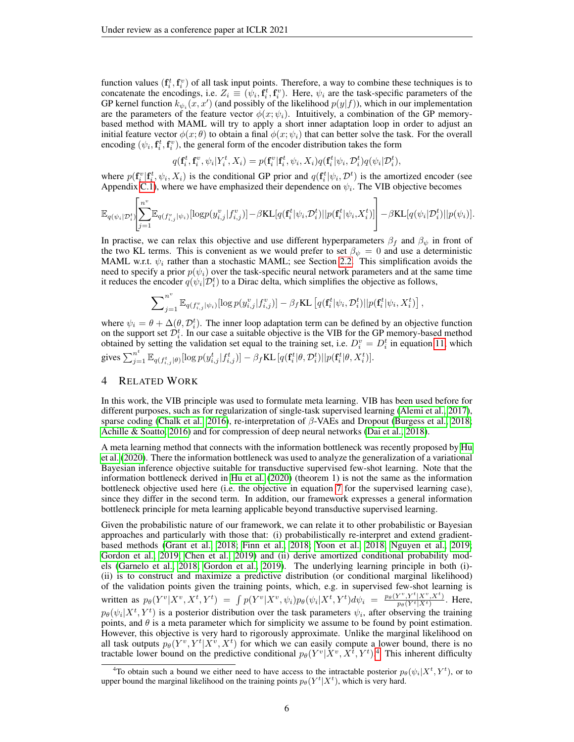function values  $(f_i^t, f_i^v)$  of all task input points. Therefore, a way to combine these techniques is to concatenate the encodings, i.e.  $Z_i \equiv (\psi_i, \mathbf{f}_i^t, \mathbf{f}_i^v)$ . Here,  $\psi_i$  are the task-specific parameters of the GP kernel function  $k_{\psi_i}(x, x')$  (and possibly of the likelihood  $p(y|f)$ ), which in our implementation are the parameters of the feature vector  $\phi(x; \psi_i)$ . Intuitively, a combination of the GP memorybased method with MAML will try to apply a short inner adaptation loop in order to adjust an initial feature vector  $\phi(x;\theta)$  to obtain a final  $\phi(x;\psi_i)$  that can better solve the task. For the overall encoding  $(\psi_i, \mathbf{f}_i^t, \mathbf{f}_i^v)$ , the general form of the encoder distribution takes the form

$$
q(\mathbf{f}_i^t, \mathbf{f}_i^v, \psi_i | Y_i^t, X_i) = p(\mathbf{f}_i^v | \mathbf{f}_i^t, \psi_i, X_i) q(\mathbf{f}_i^t | \psi_i, \mathcal{D}_i^t) q(\psi_i | \mathcal{D}_i^t),
$$

where  $p(\mathbf{f}_i^v | \mathbf{f}_i^t, \psi_i, X_i)$  is the conditional GP prior and  $q(\mathbf{f}_i^t | \psi_i, \mathcal{D}^t)$  is the amortized encoder (see Appendix [C.1\)](#page-15-1), where we have emphasized their dependence on  $\psi_i$ . The VIB objective becomes

$$
\mathbb{E}_{q(\psi_i|\mathcal{D}_i^t)}\!\!\left[\!\sum_{j=1}^{n^v}\!\mathbb{E}_{q(f_{i,j}^v|\psi_i)}\!\left[\mathrm{log}p(y_{i,j}^v|f_{i,j}^v)\right]\!-\!\beta\mathrm{KL}[q(\mathbf{f}_i^t|\psi_i,\!\mathcal{D}_i^t)||p(\mathbf{f}_i^t|\psi_i,\!X_i^t)]\!\right]-\beta\mathrm{KL}[q(\psi_i|\mathcal{D}_i^t)||p(\psi_i)].
$$

In practise, we can relax this objective and use different hyperparameters  $\beta_f$  and  $\beta_{\psi}$  in front of the two KL terms. This is convenient as we would prefer to set  $\beta_{\psi} = 0$  and use a deterministic MAML w.r.t.  $\psi_i$  rather than a stochastic MAML; see Section [2.2.](#page-2-0) This simplification avoids the need to specify a prior  $p(\psi_i)$  over the task-specific neural network parameters and at the same time it reduces the encoder  $q(\psi_i|\mathcal{D}_i^t)$  to a Dirac delta, which simplifies the objective as follows,

$$
\sum\nolimits_{j=1}^n\mathbb{E}_{q(f_{i,j}^v|\psi_i)}[\log p(y_{i,j}^v|f_{i,j}^v)] - \beta_f\text{KL}\left[q(\mathbf{f}_i^t|\psi_i,\mathcal{D}_i^t)||p(\mathbf{f}_i^t|\psi_i,X_i^t)\right]
$$

,

where  $\psi_i = \theta + \Delta(\theta, \mathcal{D}_i^t)$ . The inner loop adaptation term can be defined by an objective function on the support set  $\mathcal{D}_{i}^{t}$ . In our case a suitable objective is the VIB for the GP memory-based method obtained by setting the validation set equal to the training set, i.e.  $D_i^v = D_i^t$  in equation [11,](#page-4-4) which gives  $\sum_{j=1}^{n^t} \mathbb{E}_{q(f_{i,j}^t|\theta)}[\log p(y_{i,j}^t|f_{i,j}^t)] - \beta_f \text{KL}\left[q(\mathbf{f}_i^t|\theta,\mathcal{D}_i^t)||p(\mathbf{f}_i^t|\theta,X_i^t)\right]$ .

## 4 RELATED WORK

In this work, the VIB principle was used to formulate meta learning. VIB has been used before for different purposes, such as for regularization of single-task supervised learning [\(Alemi et al., 2017\)](#page-9-7), sparse coding [\(Chalk et al., 2016\)](#page-9-8), re-interpretation of β-VAEs and Dropout [\(Burgess et al., 2018;](#page-9-12) [Achille & Soatto, 2016\)](#page-9-9) and for compression of deep neural networks [\(Dai et al., 2018\)](#page-9-13).

A meta learning method that connects with the information bottleneck was recently proposed by [Hu](#page-10-10) [et al.](#page-10-10) [\(2020\)](#page-10-10). There the information bottleneck was used to analyze the generalization of a variational Bayesian inference objective suitable for transductive supervised few-shot learning. Note that the information bottleneck derived in [Hu et al.](#page-10-10) [\(2020\)](#page-10-10) (theorem 1) is not the same as the information bottleneck objective used here (i.e. the objective in equation [7](#page-3-2) for the supervised learning case), since they differ in the second term. In addition, our framework expresses a general information bottleneck principle for meta learning applicable beyond transductive supervised learning.

Given the probabilistic nature of our framework, we can relate it to other probabilistic or Bayesian approaches and particularly with those that: (i) probabilistically re-interpret and extend gradientbased methods [\(Grant et al., 2018;](#page-9-2) [Finn et al., 2018;](#page-9-3) [Yoon et al., 2018;](#page-11-0) [Nguyen et al., 2019;](#page-10-11) [Gordon et al., 2019;](#page-9-5) [Chen et al., 2019\)](#page-9-14) and (ii) derive amortized conditional probability models [\(Garnelo et al., 2018;](#page-9-4) [Gordon et al., 2019\)](#page-9-5). The underlying learning principle in both (i)- (ii) is to construct and maximize a predictive distribution (or conditional marginal likelihood) of the validation points given the training points, which, e.g. in supervised few-shot learning is written as  $p_{\theta}(Y^v | X^v, X^t, Y^t) = \int p(Y^v | X^v, \psi_i) p_{\theta}(\psi_i | X^t, Y^t) d\psi_i = \frac{p_{\theta}(Y^v, Y^t | X^v, X^t)}{p_{\theta}(Y^t | X^t)}$ . Here,  $p_{\theta}(\psi_i|X^t, Y^t)$  is a posterior distribution over the task parameters  $\psi_i$ , after observing the training points, and  $\theta$  is a meta parameter which for simplicity we assume to be found by point estimation. However, this objective is very hard to rigorously approximate. Unlike the marginal likelihood on all task outputs  $p_{\theta}(Y^v, Y^t | X^v, X^t)$  for which we can easily compute a lower bound, there is no tractable lower bound on the predictive conditional  $p_{\theta}(Y^v | X^v, X^{\hat{t}}, Y^t)$ .<sup>[4](#page-5-0)</sup> This inherent difficulty

<span id="page-5-0"></span><sup>&</sup>lt;sup>4</sup>To obtain such a bound we either need to have access to the intractable posterior  $p_\theta(\psi_i|X^t, Y^t)$ , or to upper bound the marginal likelihood on the training points  $p_{\theta}(Y^t | X^t)$ , which is very hard.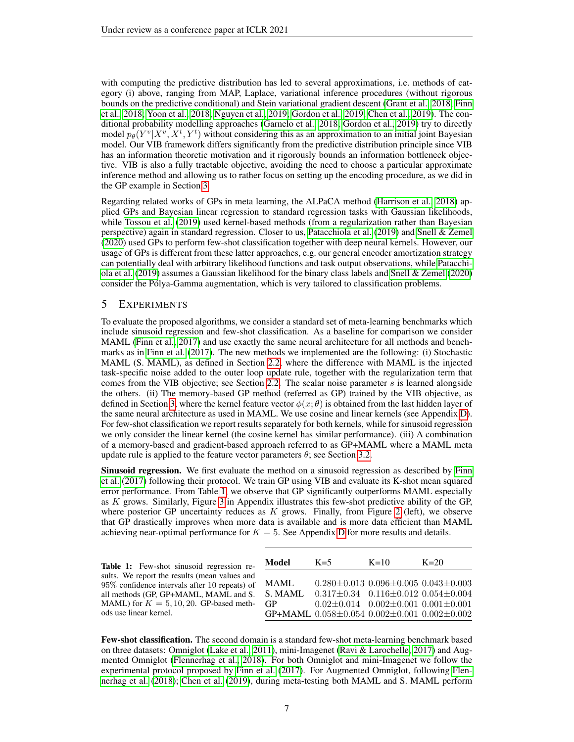with computing the predictive distribution has led to several approximations, i.e. methods of category (i) above, ranging from MAP, Laplace, variational inference procedures (without rigorous bounds on the predictive conditional) and Stein variational gradient descent [\(Grant et al., 2018;](#page-9-2) [Finn](#page-9-3) [et al., 2018;](#page-9-3) [Yoon et al., 2018;](#page-11-0) [Nguyen et al., 2019;](#page-10-11) [Gordon et al., 2019;](#page-9-5) [Chen et al., 2019\)](#page-9-14). The conditional probability modelling approaches [\(Garnelo et al., 2018;](#page-9-4) [Gordon et al., 2019\)](#page-9-5) try to directly model  $p_{\theta}(Y^v | X^v, X^t, Y^t)$  without considering this as an approximation to an initial joint Bayesian model. Our VIB framework differs significantly from the predictive distribution principle since VIB has an information theoretic motivation and it rigorously bounds an information bottleneck objective. VIB is also a fully tractable objective, avoiding the need to choose a particular approximate inference method and allowing us to rather focus on setting up the encoding procedure, as we did in the GP example in Section [3.](#page-3-0)

Regarding related works of GPs in meta learning, the ALPaCA method [\(Harrison et al., 2018\)](#page-10-12) applied GPs and Bayesian linear regression to standard regression tasks with Gaussian likelihoods, while [Tossou et al.](#page-10-13) [\(2019\)](#page-10-13) used kernel-based methods (from a regularization rather than Bayesian perspective) again in standard regression. Closer to us, [Patacchiola et al.](#page-10-14) [\(2019\)](#page-10-14) and [Snell & Zemel](#page-10-15) [\(2020\)](#page-10-15) used GPs to perform few-shot classification together with deep neural kernels. However, our usage of GPs is different from these latter approaches, e.g. our general encoder amortization strategy can potentially deal with arbitrary likelihood functions and task output observations, while [Patacchi](#page-10-14)[ola et al.](#page-10-14) [\(2019\)](#page-10-14) assumes a Gaussian likelihood for the binary class labels and [Snell & Zemel](#page-10-15) [\(2020\)](#page-10-15) consider the Polya-Gamma augmentation, which is very tailored to classification problems. ´

# 5 EXPERIMENTS

To evaluate the proposed algorithms, we consider a standard set of meta-learning benchmarks which include sinusoid regression and few-shot classification. As a baseline for comparison we consider MAML [\(Finn et al., 2017\)](#page-9-1) and use exactly the same neural architecture for all methods and benchmarks as in [Finn et al.](#page-9-1) [\(2017\)](#page-9-1). The new methods we implemented are the following: (i) Stochastic MAML (S. MAML), as defined in Section [2.2,](#page-2-0) where the difference with MAML is the injected task-specific noise added to the outer loop update rule, together with the regularization term that comes from the VIB objective; see Section [2.2.](#page-2-0) The scalar noise parameter s is learned alongside the others. (ii) The memory-based GP method (referred as GP) trained by the VIB objective, as defined in Section [3,](#page-3-0) where the kernel feature vector  $\phi(x; \theta)$  is obtained from the last hidden layer of the same neural architecture as used in MAML. We use cosine and linear kernels (see Appendix [D\)](#page-19-0). For few-shot classification we report results separately for both kernels, while for sinusoid regression we only consider the linear kernel (the cosine kernel has similar performance). (iii) A combination of a memory-based and gradient-based approach referred to as GP+MAML where a MAML meta update rule is applied to the feature vector parameters  $\theta$ ; see Section [3.2.](#page-4-0)

Sinusoid regression. We first evaluate the method on a sinusoid regression as described by [Finn](#page-9-1) [et al.](#page-9-1) [\(2017\)](#page-9-1) following their protocol. We train GP using VIB and evaluate its K-shot mean squared error performance. From Table [1,](#page-6-0) we observe that GP significantly outperforms MAML especially as K grows. Similarly, Figure [3](#page-23-0) in Appendix illustrates this few-shot predictive ability of the GP, where posterior GP uncertainty reduces as  $K$  grows. Finally, from Figure [2](#page-7-0) (left), we observe that GP drastically improves when more data is available and is more data efficient than MAML achieving near-optimal performance for  $K = 5$ . See Appendix [D](#page-19-0) for more results and details.

<span id="page-6-0"></span>Table 1: Few-shot sinusoid regression results. We report the results (mean values and 95% confidence intervals after 10 repeats) of all methods (GP, GP+MAML, MAML and S. MAML) for  $K = 5, 10, 20$ . GP-based methods use linear kernel.

| Model   | $K=5$                                                   | $K=10$                                                | $K=20$ |
|---------|---------------------------------------------------------|-------------------------------------------------------|--------|
|         |                                                         |                                                       |        |
| MAML.   |                                                         | $0.280 \pm 0.013$ $0.096 \pm 0.005$ $0.043 \pm 0.003$ |        |
| S. MAML |                                                         | $0.317 \pm 0.34$ $0.116 \pm 0.012$ $0.054 \pm 0.004$  |        |
| GP.     |                                                         | $0.02 \pm 0.014$ $0.002 \pm 0.001$ $0.001 \pm 0.001$  |        |
|         | GP+MAML $0.058\pm0.054$ $0.002\pm0.001$ $0.002\pm0.002$ |                                                       |        |

Few-shot classification. The second domain is a standard few-shot meta-learning benchmark based on three datasets: Omniglot [\(Lake et al., 2011\)](#page-10-5), mini-Imagenet [\(Ravi & Larochelle, 2017\)](#page-10-0) and Augmented Omniglot [\(Flennerhag et al., 2018\)](#page-9-15). For both Omniglot and mini-Imagenet we follow the experimental protocol proposed by [Finn et al.](#page-9-1) [\(2017\)](#page-9-1). For Augmented Omniglot, following [Flen](#page-9-15)[nerhag et al.](#page-9-15) [\(2018\)](#page-9-15); [Chen et al.](#page-9-14) [\(2019\)](#page-9-14), during meta-testing both MAML and S. MAML perform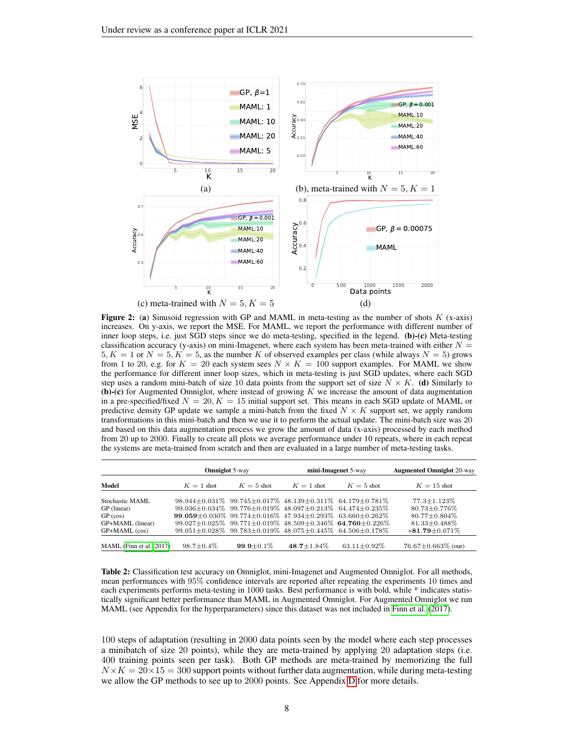<span id="page-7-0"></span>

**Figure 2:** (a) Sinusoid regression with GP and MAML in meta-testing as the number of shots  $K$  (x-axis) increases. On y-axis, we report the MSE. For MAML, we report the performance with different number of inner loop steps, i.e. just SGD steps since we do meta-testing, specified in the legend. (b)-(c) Meta-testing classification accuracy (y-axis) on mini-Imagenet, where each system has been meta-trained with either  $N =$  $5, K = 1$  or  $N = 5, K = 5$ , as the number K of observed examples per class (while always  $N = 5$ ) grows from 1 to 20, e.g. for  $K = 20$  each system sees  $N \times K = 100$  support examples. For MAML we show the performance for different inner loop sizes, which in meta-testing is just SGD updates, where each SGD step uses a random mini-batch of size 10 data points from the support set of size  $N \times K$ . (d) Similarly to (b)-(c) for Augmented Omniglot, where instead of growing K we increase the amount of data augmentation in a pre-specified/fixed  $N = 20, K = 15$  initial support set. This means in each SGD update of MAML or predictive density GP update we sample a mini-batch from the fixed  $N \times K$  support set, we apply random transformations in this mini-batch and then we use it to perform the actual update. The mini-batch size was 20 and based on this data augmentation process we grow the amount of data (x-axis) processed by each method from 20 up to 2000. Finally to create all plots we average performance under 10 repeats, where in each repeat the systems are meta-trained from scratch and then are evaluated in a large number of meta-testing tasks.

<span id="page-7-1"></span>

|                          | <b>Omniglot</b> 5-way |                  |                   | mini-Imagenet 5-way                                                                 | <b>Augmented Omniglot 20-way</b> |  |
|--------------------------|-----------------------|------------------|-------------------|-------------------------------------------------------------------------------------|----------------------------------|--|
| Model                    | $K = 1$ shot          | $K = 5$ shot     | $K = 1$ shot      | $K=5$ shot                                                                          | $K = 15$ shot                    |  |
|                          |                       |                  |                   |                                                                                     |                                  |  |
| Stochastic MAML          |                       |                  |                   | $98.944\pm0.031\%$ $99.745\pm0.017\%$ $48.139\pm0.311\%$ $64.179\pm0.781\%$         | $77.3 \pm 1.123\%$               |  |
| GP (linear)              |                       |                  |                   | $99.036\pm0.034\%$ $99.776\pm0.019\%$ $48.097\pm0.213\%$ $64.474\pm0.235\%$         | $80.73 + 0.776\%$                |  |
| GP (cos)                 |                       |                  |                   | $99.059 + 0.030\%$ $99.774 + 0.016\%$ $47.934 + 0.293\%$ 63.660 + 0.262\%           | $80.77 + 0.804\%$                |  |
| GP+MAML (linear)         |                       |                  |                   | $99.027 \pm 0.025\%$ $99.771 \pm 0.019\%$ $48.509 \pm 0.346\%$ 64.760 $\pm 0.226\%$ | $81.33 + 0.488\%$                |  |
| GP+MAML (cos)            |                       |                  |                   | $99.051 \pm 0.028\%$ $99.783 \pm 0.019\%$ $48.075 \pm 0.445\%$ $64.506 \pm 0.178\%$ | $*81.79 \pm 0.671\%$             |  |
|                          |                       |                  |                   |                                                                                     |                                  |  |
| MAML (Finn et al., 2017) | $98.7 \pm 0.4\%$      | $99.9 \pm 0.1\%$ | $48.7 \pm 1.84\%$ | $63.11 \pm 0.92\%$                                                                  | $76.67 \pm 0.663\%$ (our)        |  |

Table 2: Classification test accuracy on Omniglot, mini-Imagenet and Augmented Omniglot. For all methods, mean performances with 95% confidence intervals are reported after repeating the experiments 10 times and each experiments performs meta-testing in 1000 tasks. Best performance is with bold, while \* indicates statistically significant better performance than MAML in Augmented Omniglot. For Augmented Omniglot we run MAML (see Appendix for the hyperparameters) since this dataset was not included in [Finn et al.](#page-9-1) [\(2017\)](#page-9-1).

100 steps of adaptation (resulting in 2000 data points seen by the model where each step processes a minibatch of size 20 points), while they are meta-trained by applying 20 adaptation steps (i.e. 400 training points seen per task). Both GP methods are meta-trained by memorizing the full  $N \times K = 20 \times 15 = 300$  support points without further data augmentation, while during meta-testing we allow the GP methods to see up to 2000 points. See Appendix [D](#page-19-0) for more details.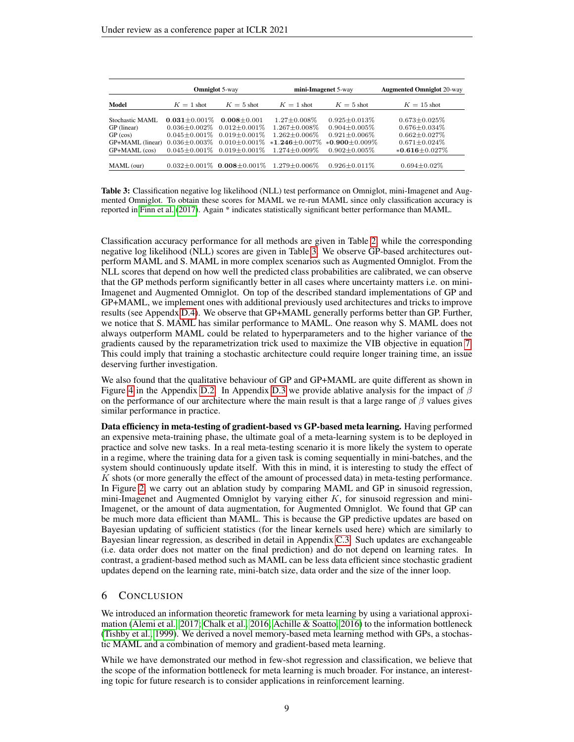<span id="page-8-0"></span>

|                  | <b>Omniglot 5-way</b> |                                         |                      | mini-Imagenet 5-way | <b>Augmented Omniglot 20-way</b> |  |
|------------------|-----------------------|-----------------------------------------|----------------------|---------------------|----------------------------------|--|
| Model            | $K = 1$ shot          | $K=5$ shot                              | $K = 1$ shot         | $K = 5$ shot        | $K = 15$ shot                    |  |
| Stochastic MAML  | $0.031 + 0.001\%$     | $0.008 + 0.001$                         | $1.27 + 0.008\%$     | $0.925 + 0.013\%$   | $0.673 \pm 0.025\%$              |  |
| GP (linear)      |                       | $0.036 + 0.002\%$ $0.012 + 0.001\%$     | $1.267 \pm 0.008\%$  | $0.904 + 0.005\%$   | $0.676 \pm 0.034\%$              |  |
| GP (cos)         |                       | $0.045 + 0.001\%$ $0.019 + 0.001\%$     | $1.262 + 0.006\%$    | $0.921 \pm 0.006\%$ | $0.662 \pm 0.027\%$              |  |
| GP+MAML (linear) |                       | $0.036 + 0.003\%$ $0.010 + 0.001\%$     | $*1.246 \pm 0.007\%$ | $*0.900 + 0.009\%$  | $0.671 \pm 0.024\%$              |  |
| GP+MAML (cos)    |                       | $0.045 \pm 0.001\%$ 0.019 $\pm 0.001\%$ | $1.274 \pm 0.009\%$  | $0.902 \pm 0.005\%$ | $*0.616 \pm 0.027\%$             |  |
|                  |                       |                                         |                      |                     |                                  |  |
| MAML (our)       |                       | $0.032 \pm 0.001\%$ 0.008 $\pm 0.001\%$ | $1.279 \pm 0.006\%$  | $0.926 \pm 0.011\%$ | $0.694 \pm 0.02\%$               |  |

Table 3: Classification negative log likelihood (NLL) test performance on Omniglot, mini-Imagenet and Augmented Omniglot. To obtain these scores for MAML we re-run MAML since only classification accuracy is reported in [Finn et al.](#page-9-1) [\(2017\)](#page-9-1). Again \* indicates statistically significant better performance than MAML.

Classification accuracy performance for all methods are given in Table [2,](#page-7-1) while the corresponding negative log likelihood (NLL) scores are given in Table [3.](#page-8-0) We observe GP-based architectures outperform MAML and S. MAML in more complex scenarios such as Augmented Omniglot. From the NLL scores that depend on how well the predicted class probabilities are calibrated, we can observe that the GP methods perform significantly better in all cases where uncertainty matters i.e. on mini-Imagenet and Augmented Omniglot. On top of the described standard implementations of GP and GP+MAML, we implement ones with additional previously used architectures and tricks to improve results (see Appendx [D.4\)](#page-24-0). We observe that GP+MAML generally performs better than GP. Further, we notice that S. MAML has similar performance to MAML. One reason why S. MAML does not always outperform MAML could be related to hyperparameters and to the higher variance of the gradients caused by the reparametrization trick used to maximize the VIB objective in equation [7.](#page-3-2) This could imply that training a stochastic architecture could require longer training time, an issue deserving further investigation.

We also found that the qualitative behaviour of GP and GP+MAML are quite different as shown in Figure [4](#page-23-1) in the Appendix [D.2.](#page-20-0) In Appendix [D.3](#page-24-1) we provide ablative analysis for the impact of  $\beta$ on the performance of our architecture where the main result is that a large range of  $\beta$  values gives similar performance in practice.

Data efficiency in meta-testing of gradient-based vs GP-based meta learning. Having performed an expensive meta-training phase, the ultimate goal of a meta-learning system is to be deployed in practice and solve new tasks. In a real meta-testing scenario it is more likely the system to operate in a regime, where the training data for a given task is coming sequentially in mini-batches, and the system should continuously update itself. With this in mind, it is interesting to study the effect of K shots (or more generally the effect of the amount of processed data) in meta-testing performance. In Figure [2,](#page-7-0) we carry out an ablation study by comparing MAML and GP in sinusoid regression, mini-Imagenet and Augmented Omniglot by varying either  $K$ , for sinusoid regression and mini-Imagenet, or the amount of data augmentation, for Augmented Omniglot. We found that GP can be much more data efficient than MAML. This is because the GP predictive updates are based on Bayesian updating of sufficient statistics (for the linear kernels used here) which are similarly to Bayesian linear regression, as described in detail in Appendix [C.3.](#page-17-0) Such updates are exchangeable (i.e. data order does not matter on the final prediction) and do not depend on learning rates. In contrast, a gradient-based method such as MAML can be less data efficient since stochastic gradient updates depend on the learning rate, mini-batch size, data order and the size of the inner loop.

# 6 CONCLUSION

We introduced an information theoretic framework for meta learning by using a variational approximation [\(Alemi et al., 2017;](#page-9-7) [Chalk et al., 2016;](#page-9-8) [Achille & Soatto, 2016\)](#page-9-9) to the information bottleneck [\(Tishby et al., 1999\)](#page-10-6). We derived a novel memory-based meta learning method with GPs, a stochastic MAML and a combination of memory and gradient-based meta learning.

While we have demonstrated our method in few-shot regression and classification, we believe that the scope of the information bottleneck for meta learning is much broader. For instance, an interesting topic for future research is to consider applications in reinforcement learning.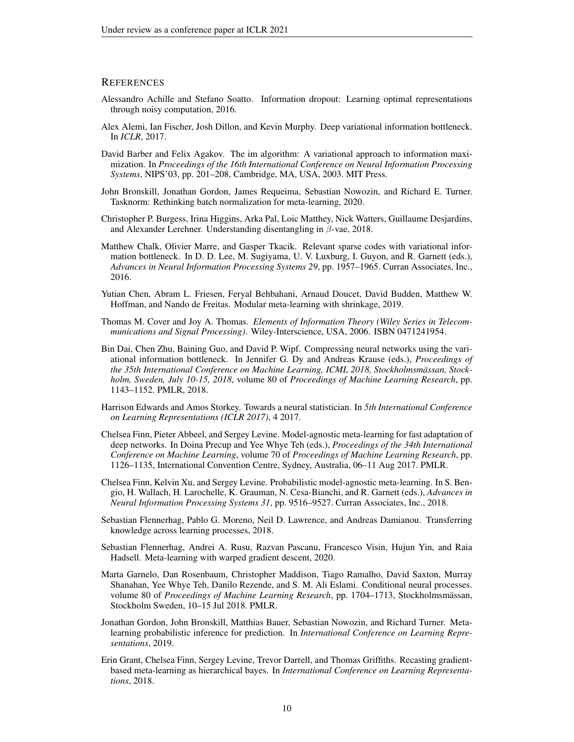## **REFERENCES**

- <span id="page-9-9"></span>Alessandro Achille and Stefano Soatto. Information dropout: Learning optimal representations through noisy computation, 2016.
- <span id="page-9-7"></span>Alex Alemi, Ian Fischer, Josh Dillon, and Kevin Murphy. Deep variational information bottleneck. In *ICLR*, 2017.
- <span id="page-9-10"></span>David Barber and Felix Agakov. The im algorithm: A variational approach to information maximization. In *Proceedings of the 16th International Conference on Neural Information Processing Systems*, NIPS'03, pp. 201–208, Cambridge, MA, USA, 2003. MIT Press.
- <span id="page-9-11"></span>John Bronskill, Jonathan Gordon, James Requeima, Sebastian Nowozin, and Richard E. Turner. Tasknorm: Rethinking batch normalization for meta-learning, 2020.
- <span id="page-9-12"></span>Christopher P. Burgess, Irina Higgins, Arka Pal, Loic Matthey, Nick Watters, Guillaume Desjardins, and Alexander Lerchner. Understanding disentangling in  $\beta$ -vae, 2018.
- <span id="page-9-8"></span>Matthew Chalk, Olivier Marre, and Gasper Tkacik. Relevant sparse codes with variational information bottleneck. In D. D. Lee, M. Sugiyama, U. V. Luxburg, I. Guyon, and R. Garnett (eds.), *Advances in Neural Information Processing Systems 29*, pp. 1957–1965. Curran Associates, Inc., 2016.
- <span id="page-9-14"></span>Yutian Chen, Abram L. Friesen, Feryal Behbahani, Arnaud Doucet, David Budden, Matthew W. Hoffman, and Nando de Freitas. Modular meta-learning with shrinkage, 2019.
- <span id="page-9-6"></span>Thomas M. Cover and Joy A. Thomas. *Elements of Information Theory (Wiley Series in Telecommunications and Signal Processing)*. Wiley-Interscience, USA, 2006. ISBN 0471241954.
- <span id="page-9-13"></span>Bin Dai, Chen Zhu, Baining Guo, and David P. Wipf. Compressing neural networks using the variational information bottleneck. In Jennifer G. Dy and Andreas Krause (eds.), *Proceedings of the 35th International Conference on Machine Learning, ICML 2018, Stockholmsmassan, Stock- ¨ holm, Sweden, July 10-15, 2018*, volume 80 of *Proceedings of Machine Learning Research*, pp. 1143–1152. PMLR, 2018.
- <span id="page-9-0"></span>Harrison Edwards and Amos Storkey. Towards a neural statistician. In *5th International Conference on Learning Representations (ICLR 2017)*, 4 2017.
- <span id="page-9-1"></span>Chelsea Finn, Pieter Abbeel, and Sergey Levine. Model-agnostic meta-learning for fast adaptation of deep networks. In Doina Precup and Yee Whye Teh (eds.), *Proceedings of the 34th International Conference on Machine Learning*, volume 70 of *Proceedings of Machine Learning Research*, pp. 1126–1135, International Convention Centre, Sydney, Australia, 06–11 Aug 2017. PMLR.
- <span id="page-9-3"></span>Chelsea Finn, Kelvin Xu, and Sergey Levine. Probabilistic model-agnostic meta-learning. In S. Bengio, H. Wallach, H. Larochelle, K. Grauman, N. Cesa-Bianchi, and R. Garnett (eds.), *Advances in Neural Information Processing Systems 31*, pp. 9516–9527. Curran Associates, Inc., 2018.
- <span id="page-9-15"></span>Sebastian Flennerhag, Pablo G. Moreno, Neil D. Lawrence, and Andreas Damianou. Transferring knowledge across learning processes, 2018.
- <span id="page-9-16"></span>Sebastian Flennerhag, Andrei A. Rusu, Razvan Pascanu, Francesco Visin, Hujun Yin, and Raia Hadsell. Meta-learning with warped gradient descent, 2020.
- <span id="page-9-4"></span>Marta Garnelo, Dan Rosenbaum, Christopher Maddison, Tiago Ramalho, David Saxton, Murray Shanahan, Yee Whye Teh, Danilo Rezende, and S. M. Ali Eslami. Conditional neural processes. volume 80 of *Proceedings of Machine Learning Research*, pp. 1704–1713, Stockholmsmassan, ¨ Stockholm Sweden, 10–15 Jul 2018. PMLR.
- <span id="page-9-5"></span>Jonathan Gordon, John Bronskill, Matthias Bauer, Sebastian Nowozin, and Richard Turner. Metalearning probabilistic inference for prediction. In *International Conference on Learning Representations*, 2019.
- <span id="page-9-2"></span>Erin Grant, Chelsea Finn, Sergey Levine, Trevor Darrell, and Thomas Griffiths. Recasting gradientbased meta-learning as hierarchical bayes. In *International Conference on Learning Representations*, 2018.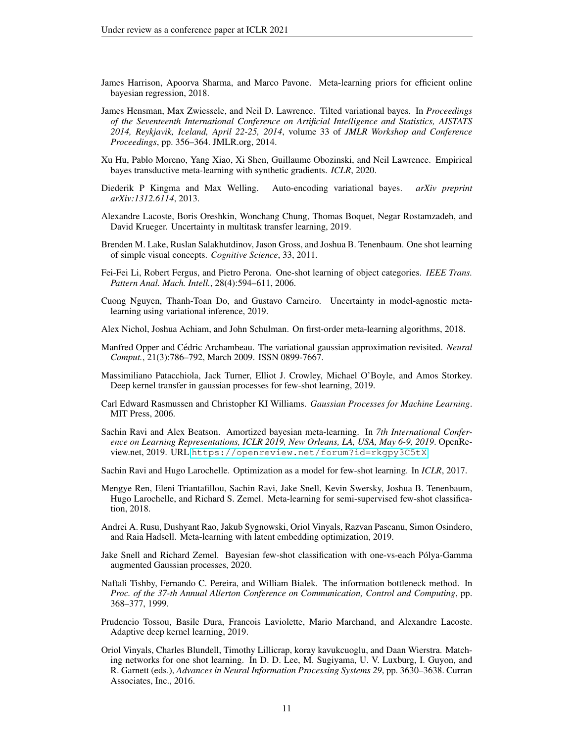- <span id="page-10-12"></span>James Harrison, Apoorva Sharma, and Marco Pavone. Meta-learning priors for efficient online bayesian regression, 2018.
- <span id="page-10-16"></span>James Hensman, Max Zwiessele, and Neil D. Lawrence. Tilted variational bayes. In *Proceedings of the Seventeenth International Conference on Artificial Intelligence and Statistics, AISTATS 2014, Reykjavik, Iceland, April 22-25, 2014*, volume 33 of *JMLR Workshop and Conference Proceedings*, pp. 356–364. JMLR.org, 2014.
- <span id="page-10-10"></span>Xu Hu, Pablo Moreno, Yang Xiao, Xi Shen, Guillaume Obozinski, and Neil Lawrence. Empirical bayes transductive meta-learning with synthetic gradients. *ICLR*, 2020.
- <span id="page-10-9"></span>Diederik P Kingma and Max Welling. Auto-encoding variational bayes. *arXiv preprint arXiv:1312.6114*, 2013.
- <span id="page-10-2"></span>Alexandre Lacoste, Boris Oreshkin, Wonchang Chung, Thomas Boquet, Negar Rostamzadeh, and David Krueger. Uncertainty in multitask transfer learning, 2019.
- <span id="page-10-5"></span>Brenden M. Lake, Ruslan Salakhutdinov, Jason Gross, and Joshua B. Tenenbaum. One shot learning of simple visual concepts. *Cognitive Science*, 33, 2011.
- <span id="page-10-4"></span>Fei-Fei Li, Robert Fergus, and Pietro Perona. One-shot learning of object categories. *IEEE Trans. Pattern Anal. Mach. Intell.*, 28(4):594–611, 2006.
- <span id="page-10-11"></span>Cuong Nguyen, Thanh-Toan Do, and Gustavo Carneiro. Uncertainty in model-agnostic metalearning using variational inference, 2019.
- <span id="page-10-3"></span>Alex Nichol, Joshua Achiam, and John Schulman. On first-order meta-learning algorithms, 2018.
- <span id="page-10-17"></span>Manfred Opper and Cédric Archambeau. The variational gaussian approximation revisited. *Neural Comput.*, 21(3):786–792, March 2009. ISSN 0899-7667.
- <span id="page-10-14"></span>Massimiliano Patacchiola, Jack Turner, Elliot J. Crowley, Michael O'Boyle, and Amos Storkey. Deep kernel transfer in gaussian processes for few-shot learning, 2019.
- <span id="page-10-7"></span>Carl Edward Rasmussen and Christopher KI Williams. *Gaussian Processes for Machine Learning*. MIT Press, 2006.
- <span id="page-10-8"></span>Sachin Ravi and Alex Beatson. Amortized bayesian meta-learning. In *7th International Conference on Learning Representations, ICLR 2019, New Orleans, LA, USA, May 6-9, 2019*. OpenReview.net, 2019. URL <https://openreview.net/forum?id=rkgpy3C5tX>.
- <span id="page-10-0"></span>Sachin Ravi and Hugo Larochelle. Optimization as a model for few-shot learning. In *ICLR*, 2017.
- <span id="page-10-18"></span>Mengye Ren, Eleni Triantafillou, Sachin Ravi, Jake Snell, Kevin Swersky, Joshua B. Tenenbaum, Hugo Larochelle, and Richard S. Zemel. Meta-learning for semi-supervised few-shot classification, 2018.
- <span id="page-10-19"></span>Andrei A. Rusu, Dushyant Rao, Jakub Sygnowski, Oriol Vinyals, Razvan Pascanu, Simon Osindero, and Raia Hadsell. Meta-learning with latent embedding optimization, 2019.
- <span id="page-10-15"></span>Jake Snell and Richard Zemel. Bayesian few-shot classification with one-vs-each Polya-Gamma ´ augmented Gaussian processes, 2020.
- <span id="page-10-6"></span>Naftali Tishby, Fernando C. Pereira, and William Bialek. The information bottleneck method. In *Proc. of the 37-th Annual Allerton Conference on Communication, Control and Computing*, pp. 368–377, 1999.
- <span id="page-10-13"></span>Prudencio Tossou, Basile Dura, Francois Laviolette, Mario Marchand, and Alexandre Lacoste. Adaptive deep kernel learning, 2019.
- <span id="page-10-1"></span>Oriol Vinyals, Charles Blundell, Timothy Lillicrap, koray kavukcuoglu, and Daan Wierstra. Matching networks for one shot learning. In D. D. Lee, M. Sugiyama, U. V. Luxburg, I. Guyon, and R. Garnett (eds.), *Advances in Neural Information Processing Systems 29*, pp. 3630–3638. Curran Associates, Inc., 2016.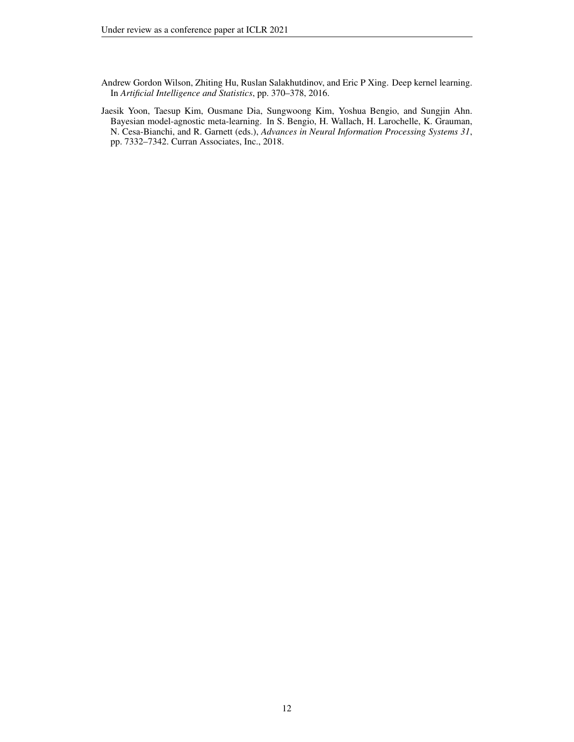<span id="page-11-1"></span>Andrew Gordon Wilson, Zhiting Hu, Ruslan Salakhutdinov, and Eric P Xing. Deep kernel learning. In *Artificial Intelligence and Statistics*, pp. 370–378, 2016.

<span id="page-11-0"></span>Jaesik Yoon, Taesup Kim, Ousmane Dia, Sungwoong Kim, Yoshua Bengio, and Sungjin Ahn. Bayesian model-agnostic meta-learning. In S. Bengio, H. Wallach, H. Larochelle, K. Grauman, N. Cesa-Bianchi, and R. Garnett (eds.), *Advances in Neural Information Processing Systems 31*, pp. 7332–7342. Curran Associates, Inc., 2018.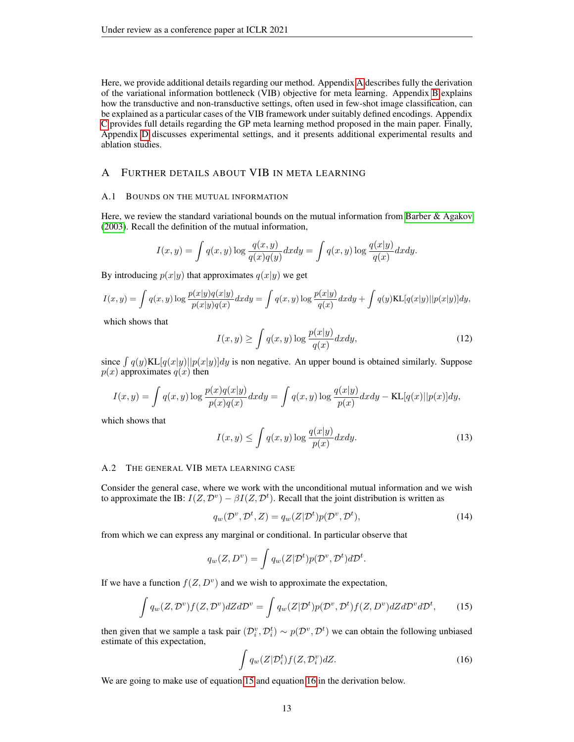Here, we provide additional details regarding our method. Appendix [A](#page-12-2) describes fully the derivation of the variational information bottleneck (VIB) objective for meta learning. Appendix [B](#page-15-0) explains how the transductive and non-transductive settings, often used in few-shot image classification, can be explained as a particular cases of the VIB framework under suitably defined encodings. Appendix [C](#page-15-2) provides full details regarding the GP meta learning method proposed in the main paper. Finally, Appendix [D](#page-19-0) discusses experimental settings, and it presents additional experimental results and ablation studies.

# <span id="page-12-2"></span>A FURTHER DETAILS ABOUT VIB IN META LEARNING

## <span id="page-12-0"></span>A.1 BOUNDS ON THE MUTUAL INFORMATION

Here, we review the standard variational bounds on the mutual information from [Barber & Agakov](#page-9-10) [\(2003\)](#page-9-10). Recall the definition of the mutual information,

$$
I(x,y) = \int q(x,y) \log \frac{q(x,y)}{q(x)q(y)} dx dy = \int q(x,y) \log \frac{q(x|y)}{q(x)} dx dy.
$$

By introducing  $p(x|y)$  that approximates  $q(x|y)$  we get

$$
I(x,y) = \int q(x,y) \log \frac{p(x|y)q(x|y)}{p(x|y)q(x)} dx dy = \int q(x,y) \log \frac{p(x|y)}{q(x)} dx dy + \int q(y) \text{KL}[q(x|y)||p(x|y)] dy,
$$

which shows that

<span id="page-12-5"></span>
$$
I(x,y) \ge \int q(x,y) \log \frac{p(x|y)}{q(x)} dx dy,
$$
\n(12)

since  $\int q(y)KL[q(x|y)||p(x|y)]dy$  is non negative. An upper bound is obtained similarly. Suppose  $p(x)$  approximates  $q(x)$  then

$$
I(x,y) = \int q(x,y) \log \frac{p(x)q(x|y)}{p(x)q(x)} dx dy = \int q(x,y) \log \frac{q(x|y)}{p(x)} dx dy - \text{KL}[q(x)||p(x)]dy,
$$

which shows that

<span id="page-12-6"></span>
$$
I(x,y) \le \int q(x,y) \log \frac{q(x|y)}{p(x)} dx dy.
$$
 (13)

## <span id="page-12-1"></span>A.2 THE GENERAL VIB META LEARNING CASE

Consider the general case, where we work with the unconditional mutual information and we wish to approximate the IB:  $I(Z, \mathcal{D}^v) - \beta I(Z, \mathcal{D}^t)$ . Recall that the joint distribution is written as

$$
q_w(\mathcal{D}^v, \mathcal{D}^t, Z) = q_w(Z|\mathcal{D}^t)p(\mathcal{D}^v, \mathcal{D}^t),
$$
\n(14)

from which we can express any marginal or conditional. In particular observe that

$$
q_w(Z, D^v) = \int q_w(Z|D^t)p(D^v, D^t)dD^t.
$$

If we have a function  $f(Z, D^v)$  and we wish to approximate the expectation,

<span id="page-12-3"></span>
$$
\int q_w(Z, \mathcal{D}^v) f(Z, \mathcal{D}^v) dZ d\mathcal{D}^v = \int q_w(Z|\mathcal{D}^t) p(\mathcal{D}^v, \mathcal{D}^t) f(Z, \mathcal{D}^v) dZ d\mathcal{D}^v d\mathcal{D}^t, \tag{15}
$$

then given that we sample a task pair  $(\mathcal{D}_i^v, \mathcal{D}_i^t) \sim p(\mathcal{D}^v, \mathcal{D}^t)$  we can obtain the following unbiased estimate of this expectation,

<span id="page-12-4"></span>
$$
\int q_w(Z|\mathcal{D}_i^t) f(Z,\mathcal{D}_i^v) dZ.
$$
\n(16)

We are going to make use of equation [15](#page-12-3) and equation [16](#page-12-4) in the derivation below.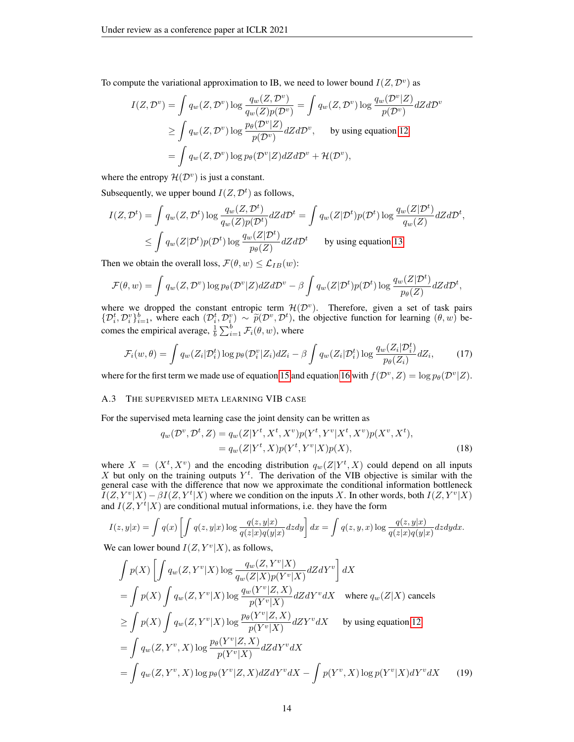To compute the variational approximation to IB, we need to lower bound  $I(Z, \mathcal{D}^v)$  as

$$
I(Z, \mathcal{D}^v) = \int q_w(Z, \mathcal{D}^v) \log \frac{q_w(Z, \mathcal{D}^v)}{q_w(Z)p(\mathcal{D}^v)} = \int q_w(Z, \mathcal{D}^v) \log \frac{q_w(\mathcal{D}^v|Z)}{p(\mathcal{D}^v)} dZ d\mathcal{D}^v
$$
  
\n
$$
\geq \int q_w(Z, \mathcal{D}^v) \log \frac{p_\theta(\mathcal{D}^v|Z)}{p(\mathcal{D}^v)} dZ d\mathcal{D}^v, \quad \text{by using equation 12}
$$
  
\n
$$
= \int q_w(Z, \mathcal{D}^v) \log p_\theta(\mathcal{D}^v|Z) dZ d\mathcal{D}^v + \mathcal{H}(\mathcal{D}^v),
$$

where the entropy  $\mathcal{H}(\mathcal{D}^v)$  is just a constant.

Subsequently, we upper bound  $I(Z, \mathcal{D}^t)$  as follows,

$$
I(Z, \mathcal{D}^t) = \int q_w(Z, \mathcal{D}^t) \log \frac{q_w(Z, \mathcal{D}^t)}{q_w(Z)p(\mathcal{D}^t)} dZ d\mathcal{D}^t = \int q_w(Z|\mathcal{D}^t)p(\mathcal{D}^t) \log \frac{q_w(Z|\mathcal{D}^t)}{q_w(Z)} dZ d\mathcal{D}^t,
$$
  

$$
\leq \int q_w(Z|\mathcal{D}^t)p(\mathcal{D}^t) \log \frac{q_w(Z|\mathcal{D}^t)}{p_\theta(Z)} dZ d\mathcal{D}^t \qquad \text{by using equation 13}
$$

Then we obtain the overall loss,  $\mathcal{F}(\theta, w) \leq \mathcal{L}_{IB}(w)$ :

$$
\mathcal{F}(\theta, w) = \int q_w(Z, \mathcal{D}^v) \log p_\theta(\mathcal{D}^v | Z) dZ d\mathcal{D}^v - \beta \int q_w(Z | \mathcal{D}^t) p(\mathcal{D}^t) \log \frac{q_w(Z | \mathcal{D}^t)}{p_\theta(Z)} dZ d\mathcal{D}^t,
$$

where we dropped the constant entropic term  $\mathcal{H}(\mathcal{D}^v)$ . Therefore, given a set of task pairs  $\{\mathcal{D}_i^t, \mathcal{D}_i^v\}_{i=1}^b$ , where each  $(\mathcal{D}_i^t, \mathcal{D}_i^v) \sim \widetilde{p}(\mathcal{D}^v, \mathcal{D}^t)$ , the objective function for learning  $(\theta, w)$  becomes the empirical average,  $\frac{1}{b} \sum_{i=1}^{b} \mathcal{F}_i(\theta, w)$ , where

$$
\mathcal{F}_i(w,\theta) = \int q_w(Z_i|\mathcal{D}_i^t) \log p_\theta(\mathcal{D}_i^v|Z_i) dZ_i - \beta \int q_w(Z_i|\mathcal{D}_i^t) \log \frac{q_w(Z_i|\mathcal{D}_i^t)}{p_\theta(Z_i)} dZ_i, \tag{17}
$$

where for the first term we made use of equation [15](#page-12-3) and equation [16](#page-12-4) with  $f(D^v, Z) = \log p_\theta(D^v | Z)$ .

## <span id="page-13-0"></span>A.3 THE SUPERVISED META LEARNING VIB CASE

For the supervised meta learning case the joint density can be written as

$$
q_w(\mathcal{D}^v, \mathcal{D}^t, Z) = q_w(Z|Y^t, X^t, X^v)p(Y^t, Y^v|X^t, X^v)p(X^v, X^t),
$$
  
=  $q_w(Z|Y^t, X)p(Y^t, Y^v|X)p(X),$  (18)

where  $X = (X^t, X^v)$  and the encoding distribution  $q_w(Z|Y^t, X)$  could depend on all inputs X but only on the training outputs  $Y<sup>t</sup>$ . The derivation of the VIB objective is similar with the general case with the difference that now we approximate the conditional information bottleneck  $I(Z, Y^v|X) - \beta I(Z, Y^t|X)$  where we condition on the inputs X. In other words, both  $I(Z, Y^v|X)$ and  $I(Z, Y^t | X)$  are conditional mutual informations, i.e. they have the form

$$
I(z,y|x) = \int q(x) \left[ \int q(z,y|x) \log \frac{q(z,y|x)}{q(z|x)q(y|x)} dz dy \right] dx = \int q(z,y,x) \log \frac{q(z,y|x)}{q(z|x)q(y|x)} dz dy dx.
$$

We can lower bound  $I(Z, Y^v | X)$ , as follows,

$$
\int p(X) \left[ \int q_w(Z, Y^v | X) \log \frac{q_w(Z, Y^v | X)}{q_w(Z | X) p(Y^v | X)} dZ dY^v \right] dX
$$
\n
$$
= \int p(X) \int q_w(Z, Y^v | X) \log \frac{q_w(Y^v | Z, X)}{p(Y^v | X)} dZ dY^v dX \quad \text{where } q_w(Z | X) \text{ cancels}
$$
\n
$$
\geq \int p(X) \int q_w(Z, Y^v | X) \log \frac{p_\theta(Y^v | Z, X)}{p(Y^v | X)} dZ Y^v dX \quad \text{by using equation 12}
$$
\n
$$
= \int q_w(Z, Y^v, X) \log \frac{p_\theta(Y^v | Z, X)}{p(Y^v | X)} dZ dY^v dX
$$
\n
$$
= \int q_w(Z, Y^v, X) \log p_\theta(Y^v | Z, X) dZ dY^v dX - \int p(Y^v, X) \log p(Y^v | X) dY^v dX \quad (19)
$$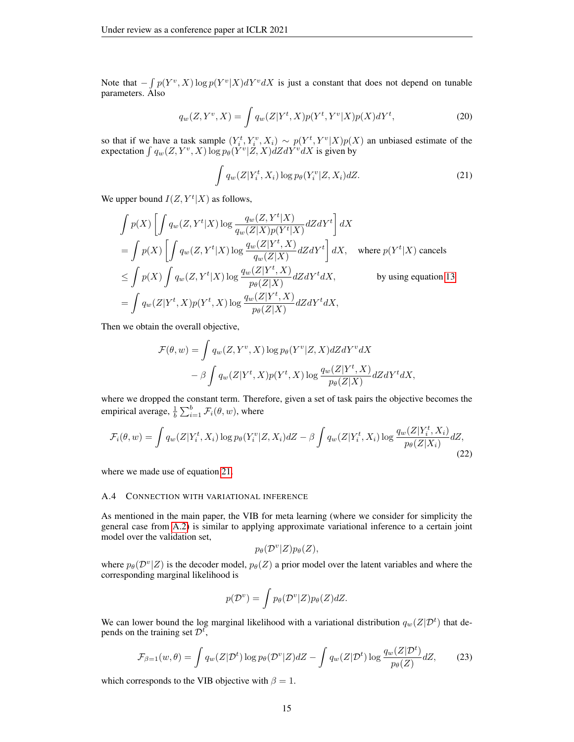Note that  $-\int p(Y^v, X) \log p(Y^v | X) dY^v dX$  is just a constant that does not depend on tunable parameters. Also

$$
q_w(Z, Y^v, X) = \int q_w(Z|Y^t, X)p(Y^t, Y^v|X)p(X)dY^t,
$$
\n(20)

so that if we have a task sample  $(Y_i^t, Y_i^v, X_i) \sim p(Y^t, Y^v | X) p(X)$  an unbiased estimate of the expectation  $\int q_w(Z, Y^v, X) \log p_\theta(Y^v | Z, X) dZ dY^v dX$  is given by

<span id="page-14-0"></span>
$$
\int q_w(Z|Y_i^t, X_i) \log p_\theta(Y_i^v|Z, X_i) dZ.
$$
\n(21)

We upper bound  $I(Z, Y^t | X)$  as follows,

$$
\int p(X) \left[ \int q_w(Z, Y^t | X) \log \frac{q_w(Z, Y^t | X)}{q_w(Z | X) p(Y^t | X)} dZ dY^t \right] dX
$$
\n
$$
= \int p(X) \left[ \int q_w(Z, Y^t | X) \log \frac{q_w(Z | Y^t, X)}{q_w(Z | X)} dZ dY^t \right] dX, \quad \text{where } p(Y^t | X) \text{ cancels}
$$
\n
$$
\leq \int p(X) \int q_w(Z, Y^t | X) \log \frac{q_w(Z | Y^t, X)}{p_\theta(Z | X)} dZ dY^t dX, \qquad \text{by using equation 13}
$$
\n
$$
= \int q_w(Z | Y^t, X) p(Y^t, X) \log \frac{q_w(Z | Y^t, X)}{p_\theta(Z | X)} dZ dY^t dX,
$$

Then we obtain the overall objective,

$$
\mathcal{F}(\theta, w) = \int q_w(Z, Y^v, X) \log p_\theta(Y^v | Z, X) dZ dY^v dX
$$

$$
- \beta \int q_w(Z | Y^t, X) p(Y^t, X) \log \frac{q_w(Z | Y^t, X)}{p_\theta(Z | X)} dZ dY^t dX,
$$

where we dropped the constant term. Therefore, given a set of task pairs the objective becomes the empirical average,  $\frac{1}{b} \sum_{i=1}^{b} \mathcal{F}_i(\theta, w)$ , where

$$
\mathcal{F}_i(\theta, w) = \int q_w(Z|Y_i^t, X_i) \log p_\theta(Y_i^v|Z, X_i) dZ - \beta \int q_w(Z|Y_i^t, X_i) \log \frac{q_w(Z|Y_i^t, X_i)}{p_\theta(Z|X_i)} dZ,
$$
\n(22)

where we made use of equation [21.](#page-14-0)

#### A.4 CONNECTION WITH VARIATIONAL INFERENCE

As mentioned in the main paper, the VIB for meta learning (where we consider for simplicity the general case from [A.2\)](#page-12-1) is similar to applying approximate variational inference to a certain joint model over the validation set,

<span id="page-14-1"></span>
$$
p_{\theta}(\mathcal{D}^v|Z)p_{\theta}(Z),
$$

where  $p_{\theta}(\mathcal{D}^v|Z)$  is the decoder model,  $p_{\theta}(Z)$  a prior model over the latent variables and where the corresponding marginal likelihood is

$$
p(\mathcal{D}^v) = \int p_\theta(\mathcal{D}^v|Z)p_\theta(Z)dZ.
$$

We can lower bound the log marginal likelihood with a variational distribution  $q_w(Z|_{\mathcal{D}}^t)$  that depends on the training set  $\mathcal{D}^t$ ,

$$
\mathcal{F}_{\beta=1}(w,\theta) = \int q_w(Z|\mathcal{D}^t)\log p_\theta(\mathcal{D}^v|Z)dZ - \int q_w(Z|\mathcal{D}^t)\log \frac{q_w(Z|\mathcal{D}^t)}{p_\theta(Z)}dZ,\tag{23}
$$

which corresponds to the VIB objective with  $\beta = 1$ .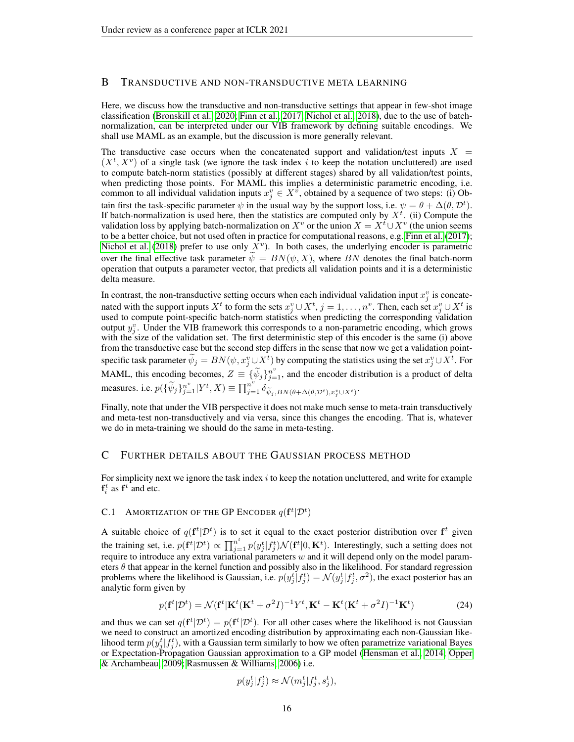## <span id="page-15-0"></span>B TRANSDUCTIVE AND NON-TRANSDUCTIVE META LEARNING

Here, we discuss how the transductive and non-transductive settings that appear in few-shot image classification [\(Bronskill et al., 2020;](#page-9-11) [Finn et al., 2017;](#page-9-1) [Nichol et al., 2018\)](#page-10-3), due to the use of batchnormalization, can be interpreted under our VIB framework by defining suitable encodings. We shall use MAML as an example, but the discussion is more generally relevant.

The transductive case occurs when the concatenated support and validation/test inputs  $X =$  $(X^t, X^v)$  of a single task (we ignore the task index i to keep the notation uncluttered) are used to compute batch-norm statistics (possibly at different stages) shared by all validation/test points, when predicting those points. For MAML this implies a deterministic parametric encoding, i.e. common to all individual validation inputs  $x_j^v \in X^{\hat{v}}$ , obtained by a sequence of two steps: (i) Obtain first the task-specific parameter  $\psi$  in the usual way by the support loss, i.e.  $\psi = \theta + \Delta(\theta, \mathcal{D}^t)$ . If batch-normalization is used here, then the statistics are computed only by  $X^t$ . (ii) Compute the validation loss by applying batch-normalization on  $X^v$  or the union  $X = X^t \cup X^v$  (the union seems to be a better choice, but not used often in practice for computational reasons, e.g. [Finn et al.](#page-9-1) [\(2017\)](#page-9-1); [Nichol et al.](#page-10-3) [\(2018\)](#page-10-3) prefer to use only  $\overline{X}^v$ ). In both cases, the underlying encoder is parametric over the final effective task parameter  $\psi = BN(\psi, X)$ , where BN denotes the final batch-norm operation that outputs a parameter vector, that predicts all validation points and it is a deterministic delta measure.

In contrast, the non-transductive setting occurs when each individual validation input  $x_j^v$  is concatenated with the support inputs  $X^t$  to form the sets  $x_j^v \cup X^t$ ,  $j = 1, \ldots, n^v$ . Then, each set  $x_j^v \cup X^t$  is used to compute point-specific batch-norm statistics when predicting the corresponding validation output  $y_j^v$ . Under the VIB framework this corresponds to a non-parametric encoding, which grows with the size of the validation set. The first deterministic step of this encoder is the same (i) above from the transductive case but the second step differs in the sense that now we get a validation pointspecific task parameter  $\tilde{\psi}_j = BN(\psi, x_j^v \cup X^t)$  by computing the statistics using the set  $x_j^v \cup X^t$ . For MAML, this encoding becomes,  $Z = {\tilde{\psi}_j}_{j=1}^n$ , and the encoder distribution is a product of delta measures. i.e.  $p(\{\widetilde{\psi}_j\}_{j=1}^{n^v}|Y^t, X) \equiv \prod_{j=1}^{n^v} \widetilde{\delta}_{\widetilde{\psi}_j, BN(\theta + \Delta(\theta, \mathcal{D}^t), x_j^v \cup X^t)}$ .

Finally, note that under the VIB perspective it does not make much sense to meta-train transductively and meta-test non-transductively and via versa, since this changes the encoding. That is, whatever we do in meta-training we should do the same in meta-testing.

#### <span id="page-15-2"></span>C FURTHER DETAILS ABOUT THE GAUSSIAN PROCESS METHOD

For simplicity next we ignore the task index  $i$  to keep the notation uncluttered, and write for example  $f_i^t$  as  $f^t$  and etc.

# <span id="page-15-1"></span>C.1 AMORTIZATION OF THE GP ENCODER  $q(\mathbf{f}^t|\mathcal{D}^t)$

A suitable choice of  $q(\mathbf{f}^t | \mathcal{D}^t)$  is to set it equal to the exact posterior distribution over  $\mathbf{f}^t$  given the training set, i.e.  $p(\mathbf{f}^t | \mathcal{D}^t) \propto \prod_{j=1}^{n^t} p(y_j^t | f_j^t) \mathcal{N}(\mathbf{f}^t | 0, \mathbf{K}^t)$ . Interestingly, such a setting does not require to introduce any extra variational parameters  $w$  and it will depend only on the model parameters  $\theta$  that appear in the kernel function and possibly also in the likelihood. For standard regression problems where the likelihood is Gaussian, i.e.  $p(y_j^t | f_j^t) = \mathcal{N}(y_j^t | f_j^t, \sigma^2)$ , the exact posterior has an analytic form given by

$$
p(\mathbf{f}^t|\mathcal{D}^t) = \mathcal{N}(\mathbf{f}^t|\mathbf{K}^t(\mathbf{K}^t + \sigma^2 I)^{-1}Y^t, \mathbf{K}^t - \mathbf{K}^t(\mathbf{K}^t + \sigma^2 I)^{-1}\mathbf{K}^t)
$$
(24)

and thus we can set  $q(\mathbf{f}^t | \mathcal{D}^t) = p(\mathbf{f}^t | \mathcal{D}^t)$ . For all other cases where the likelihood is not Gaussian we need to construct an amortized encoding distribution by approximating each non-Gaussian likelihood term  $p(y_j^t|f_j^t)$ , with a Gaussian term similarly to how we often parametrize variational Bayes or Expectation-Propagation Gaussian approximation to a GP model [\(Hensman et al., 2014;](#page-10-16) [Opper](#page-10-17) [& Archambeau, 2009;](#page-10-17) [Rasmussen & Williams, 2006\)](#page-10-7) i.e.

$$
p(y_j^t | f_j^t) \approx \mathcal{N}(m_j^t | f_j^t, s_j^t),
$$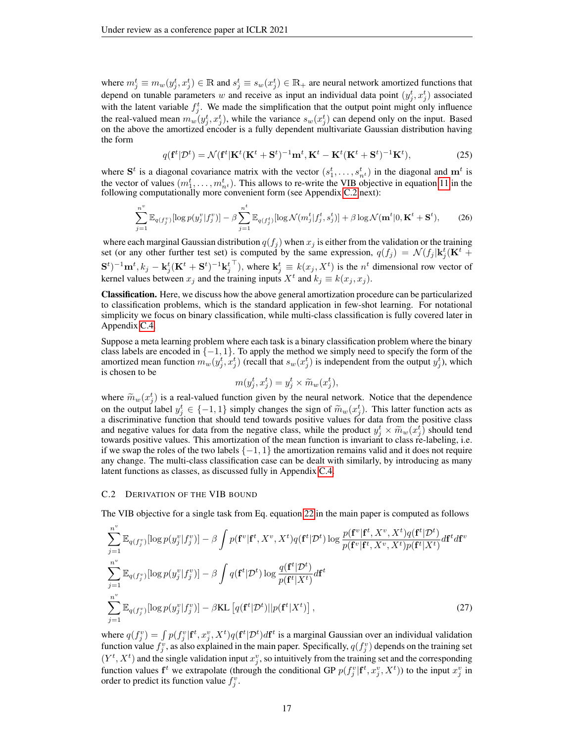where  $m_j^t \equiv m_w(y_j^t, x_j^t) \in \mathbb{R}$  and  $s_j^t \equiv s_w(x_j^t) \in \mathbb{R}_+$  are neural network amortized functions that depend on tunable parameters w and receive as input an individual data point  $(y_j^t, x_j^t)$  associated with the latent variable  $f_j^t$ . We made the simplification that the output point might only influence the real-valued mean  $m_w(y_j^t, x_j^t)$ , while the variance  $s_w(x_j^t)$  can depend only on the input. Based on the above the amortized encoder is a fully dependent multivariate Gaussian distribution having the form

$$
q(\mathbf{f}^t|\mathcal{D}^t) = \mathcal{N}(\mathbf{f}^t|\mathbf{K}^t(\mathbf{K}^t + \mathbf{S}^t)^{-1}\mathbf{m}^t, \mathbf{K}^t - \mathbf{K}^t(\mathbf{K}^t + \mathbf{S}^t)^{-1}\mathbf{K}^t),
$$
\n(25)

where  $S^t$  is a diagonal covariance matrix with the vector  $(s_1^t, \ldots, s_{n^t}^t)$  in the diagonal and  $m^t$  is the vector of values  $(m_1^t, \ldots, m_{n^t}^t)$ . This allows to re-write the VIB objective in equation [11](#page-4-4) in the following computationally more convenient form (see Appendix [C.2](#page-16-0) next):

$$
\sum_{j=1}^{n^v} \mathbb{E}_{q(f_j^v)}[\log p(y_j^v | f_j^v)] - \beta \sum_{j=1}^{n^t} \mathbb{E}_{q(f_j^t)}[\log \mathcal{N}(m_j^t | f_j^t, s_j^t)] + \beta \log \mathcal{N}(\mathbf{m}^t | 0, \mathbf{K}^t + \mathbf{S}^t),
$$
 (26)

where each marginal Gaussian distribution  $q(f_i)$  when  $x_j$  is either from the validation or the training set (or any other further test set) is computed by the same expression,  $q(f_j) = \mathcal{N}(f_j | \mathbf{k}_j^t(\mathbf{K}^t +$  $(\mathbf{S}^t)^{-1}\mathbf{m}^t, k_j - \mathbf{k}_j^t(\mathbf{K}^t + \mathbf{S}^t)^{-1}\mathbf{k}_j^t$ <sup>T</sup>), where  $\mathbf{k}_j^t \equiv k(x_j, X^t)$  is the  $n^t$  dimensional row vector of kernel values between  $x_j$  and the training inputs  $X^t$  and  $k_j \equiv k(x_j, x_j)$ .

Classification. Here, we discuss how the above general amortization procedure can be particularized to classification problems, which is the standard application in few-shot learning. For notational simplicity we focus on binary classification, while multi-class classification is fully covered later in Appendix [C.4.](#page-18-0)

Suppose a meta learning problem where each task is a binary classification problem where the binary class labels are encoded in  $\{-1, 1\}$ . To apply the method we simply need to specify the form of the amortized mean function  $m_w(y_j^t, x_j^t)$  (recall that  $s_w(x_j^t)$  is independent from the output  $y_j^t$ ), which is chosen to be

$$
m(y_j^t, x_j^t) = y_j^t \times \widetilde{m}_w(x_j^t),
$$

where  $\widetilde{m}_w(x_j^t)$  is a real-valued function given by the neural network. Notice that the dependence<br>on the output label at  $\epsilon \in \{-1, 1\}$  simply abonese the sign of  $\widetilde{\infty}$  (at). This latter function acts as on the output label  $y_j^t \in \{-1, 1\}$  simply changes the sign of  $\tilde{m}_w(x_j^t)$ . This latter function acts as a discriminative function that should tend towards positive values for data from the positive class a discriminative function that should tend towards positive values for data from the positive class and negative values for data from the negative class, while the product  $y_j^t \times \widetilde{m}_w(x_j^t)$  should tend<br>towards positive values. This amortization of the mean function is invariant to class re-labeling i.e. towards positive values. This amortization of the mean function is invariant to class re-labeling, i.e. if we swap the roles of the two labels  $\{-1, 1\}$  the amortization remains valid and it does not require any change. The multi-class classification case can be dealt with similarly, by introducing as many latent functions as classes, as discussed fully in Appendix [C.4.](#page-18-0)

#### <span id="page-16-0"></span>C.2 DERIVATION OF THE VIB BOUND

The VIB objective for a single task from Eq. equation [22](#page-14-1) in the main paper is computed as follows

$$
\sum_{j=1}^{n^v} \mathbb{E}_{q(f_j^v)}[\log p(y_j^v | f_j^v)] - \beta \int p(\mathbf{f}^v | \mathbf{f}^t, X^v, X^t) q(\mathbf{f}^t | \mathcal{D}^t) \log \frac{p(\mathbf{f}^v | \mathbf{f}^t, X^v, X^t) q(\mathbf{f}^t | \mathcal{D}^t)}{p(\mathbf{f}^v | \mathbf{f}^t, X^v, X^t) p(\mathbf{f}^t | X^t)} d\mathbf{f}^t d\mathbf{f}^v
$$
\n
$$
\sum_{j=1}^{n^v} \mathbb{E}_{q(f_j^v)}[\log p(y_j^v | f_j^v)] - \beta \int q(\mathbf{f}^t | \mathcal{D}^t) \log \frac{q(\mathbf{f}^t | \mathcal{D}^t)}{p(\mathbf{f}^t | X^t)} d\mathbf{f}^t
$$
\n
$$
\sum_{j=1}^{n^v} \mathbb{E}_{q(f_j^v)}[\log p(y_j^v | f_j^v)] - \beta \text{KL}\left[q(\mathbf{f}^t | \mathcal{D}^t) || p(\mathbf{f}^t | X^t)\right],
$$
\n(27)

where  $q(f_j^v) = \int p(f_j^v | \mathbf{f}^t, x_j^v, X^t) q(\mathbf{f}^t | \mathcal{D}^t) d\mathbf{f}^t$  is a marginal Gaussian over an individual validation function value  $f_j^v$ , as also explained in the main paper. Specifically,  $q(f_j^v)$  depends on the training set  $(Y^t, X^t)$  and the single validation input  $x_j^v$ , so intuitively from the training set and the corresponding function values  $f^t$  we extrapolate (through the conditional GP  $p(f_j^v | f^t, x_j^v, X^t)$ ) to the input  $x_j^v$  in order to predict its function value  $f_j^v$ .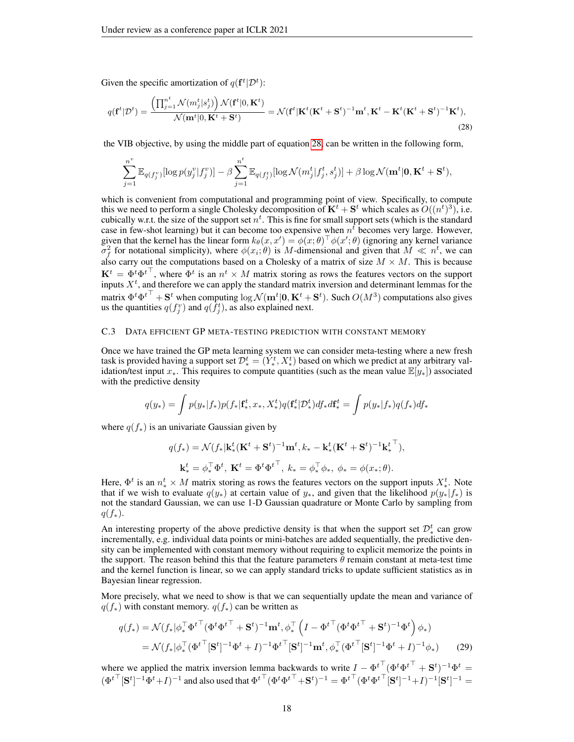Given the specific amortization of  $q(\mathbf{f}^t | \mathcal{D}^t)$ :

$$
q(\mathbf{f}^t|\mathcal{D}^t) = \frac{\left(\prod_{j=1}^{n^t} \mathcal{N}(m_j^t|s_j^t)\right) \mathcal{N}(\mathbf{f}^t|0, \mathbf{K}^t)}{\mathcal{N}(\mathbf{m}^t|0, \mathbf{K}^t + \mathbf{S}^t)} = \mathcal{N}(\mathbf{f}^t|\mathbf{K}^t(\mathbf{K}^t + \mathbf{S}^t)^{-1}\mathbf{m}^t, \mathbf{K}^t - \mathbf{K}^t(\mathbf{K}^t + \mathbf{S}^t)^{-1}\mathbf{K}^t),\tag{28}
$$

the VIB objective, by using the middle part of equation [28,](#page-17-1) can be written in the following form,

<span id="page-17-1"></span>
$$
\sum_{j=1}^{n^v} \mathbb{E}_{q(f_j^v)}[\log p(y_j^v | f_j^v)] - \beta \sum_{j=1}^{n^t} \mathbb{E}_{q(f_j^t)}[\log \mathcal{N}(m_j^t | f_j^t, s_j^t)] + \beta \log \mathcal{N}(\mathbf{m}^t | \mathbf{0}, \mathbf{K}^t + \mathbf{S}^t),
$$

which is convenient from computational and programming point of view. Specifically, to compute this we need to perform a single Cholesky decomposition of  $\mathbf{K}^t + \mathbf{S}^t$  which scales as  $O((n^t)^3)$ , i.e. cubically w.r.t. the size of the support set  $n<sup>t</sup>$ . This is fine for small support sets (which is the standard case in few-shot learning) but it can become too expensive when  $n^t$  becomes very large. However, given that the kernel has the linear form  $k_{\theta}(x, x') = \phi(x; \theta)^{\top} \phi(x'; \theta)$  (ignoring any kernel variance  $\sigma_f^2$  for notational simplicity), where  $\phi(x_i;\theta)$  is M-dimensional and given that  $M \ll n^t$ , we can also carry out the computations based on a Cholesky of a matrix of size  $M \times M$ . This is because  ${\bf K}^t = \Phi^t {\Phi^t}^\top$ , where  $\Phi^t$  is an  $n^t \times M$  matrix storing as rows the features vectors on the support inputs  $X<sup>t</sup>$ , and therefore we can apply the standard matrix inversion and determinant lemmas for the matrix  ${\Phi}^t {\Phi}^{t\top} + {\bf S}^t$  when computing  $\log \mathcal{N}({\bf m}^t|{\bf 0},{\bf K}^t+{\bf S}^t)$ . Such  $O(M^3)$  computations also gives us the quantities  $q(f_j^v)$  and  $q(\tilde{f}_j^t)$ , as also explained next.

#### <span id="page-17-0"></span>C.3 DATA EFFICIENT GP META-TESTING PREDICTION WITH CONSTANT MEMORY

Once we have trained the GP meta learning system we can consider meta-testing where a new fresh task is provided having a support set  $\mathcal{D}_{*}^{t} = (Y_{*}^{t}, X_{*}^{t})$  based on which we predict at any arbitrary validation/test input  $x_{*}$ . This requires to compute quantities (such as the mean value  $\mathbb{E}[y_{*}]$ ) associated with the predictive density

$$
q(y_*) = \int p(y_*|f_*)p(f_*|\mathbf{f}_*^t, x_*, X_*^t)q(\mathbf{f}_*^t|\mathcal{D}_*^t)df_*d\mathbf{f}_*^t = \int p(y_*|f_*)q(f_*)df_*
$$

where  $q(f_*)$  is an univariate Gaussian given by

$$
q(f_*) = \mathcal{N}(f_*|\mathbf{k}_*^t(\mathbf{K}^t + \mathbf{S}^t)^{-1}\mathbf{m}^t, k_* - \mathbf{k}_*^t(\mathbf{K}^t + \mathbf{S}^t)^{-1}\mathbf{k}_*^{t\top}),
$$
  

$$
\mathbf{k}_*^t = \phi_*^{\top}\Phi^t, \ \mathbf{K}^t = \Phi^t\Phi^{t\top}, \ k_* = \phi_*^{\top}\phi_*, \ \phi_* = \phi(x_*;\theta).
$$

Here,  $\Phi^t$  is an  $n^t_* \times M$  matrix storing as rows the features vectors on the support inputs  $X_*^t$ . Note that if we wish to evaluate  $q(y_*)$  at certain value of  $y_*$ , and given that the likelihood  $p(y_*|f_*)$  is not the standard Gaussian, we can use 1-D Gaussian quadrature or Monte Carlo by sampling from  $q(f_*)$ .

An interesting property of the above predictive density is that when the support set  $\mathcal{D}_{*}^{t}$  can grow incrementally, e.g. individual data points or mini-batches are added sequentially, the predictive density can be implemented with constant memory without requiring to explicit memorize the points in the support. The reason behind this that the feature parameters  $\theta$  remain constant at meta-test time and the kernel function is linear, so we can apply standard tricks to update sufficient statistics as in Bayesian linear regression.

More precisely, what we need to show is that we can sequentially update the mean and variance of  $q(f_*)$  with constant memory.  $q(f_*)$  can be written as

$$
q(f_*) = \mathcal{N}(f_*|\phi_*^\top \Phi^t{}^\top (\Phi^t \Phi^t{}^\top + \mathbf{S}^t)^{-1} \mathbf{m}^t, \phi_*^\top (I - \Phi^t{}^\top (\Phi^t \Phi^t{}^\top + \mathbf{S}^t)^{-1} \Phi^t) \phi_*)
$$
  
= 
$$
\mathcal{N}(f_*|\phi_*^\top (\Phi^t{}^\top [\mathbf{S}^t]^{-1} \Phi^t + I)^{-1} \Phi^t{}^\top [\mathbf{S}^t]^{-1} \mathbf{m}^t, \phi_*^\top (\Phi^t{}^\top [\mathbf{S}^t]^{-1} \Phi^t + I)^{-1} \phi_*)
$$
 (29)

where we applied the matrix inversion lemma backwards to write  $I - {\Phi^t}^\top (\Phi^t {\Phi^t}^\top + S^t)^{-1} {\Phi^t} =$  $(\Phi^{t\top}[\mathbf{S}^t]^{-1}\Phi^t + I)^{-1}$  and also used that  ${\Phi^t}^\top (\Phi^t {\Phi^t}^\top + \mathbf{S}^t)^{-1} = {\Phi^t}^\top (\Phi^t {\Phi^t}^\top [\mathbf{S}^t]^{-1} + I)^{-1} [\mathbf{S}^t]^{-1} =$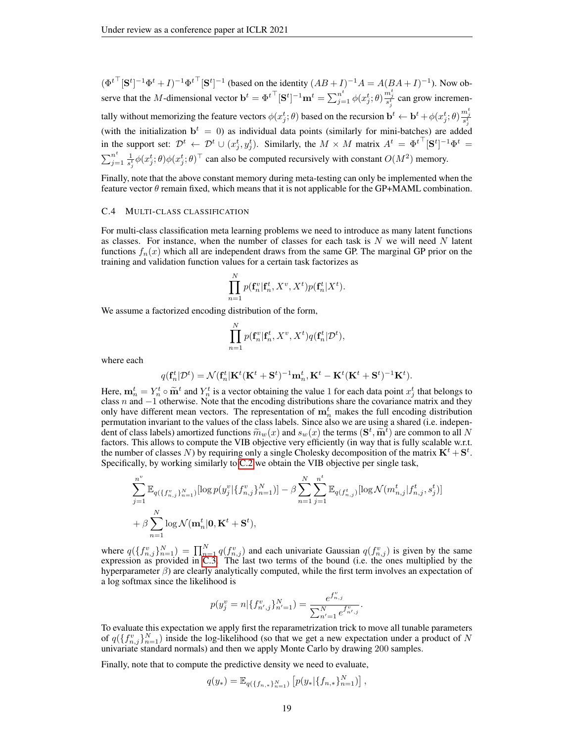$(\Phi^{t\top}[\mathbf{S}^t]^{-1}\Phi^t + I)^{-1}\Phi^{t\top}[\mathbf{S}^t]^{-1}$  (based on the identity  $(AB + I)^{-1}A = A(BA + I)^{-1}$ ). Now observe that the M-dimensional vector  $\mathbf{b}^t = \Phi^{t\top} [\mathbf{S}^t]^{-1} \mathbf{m}^t = \sum_{j=1}^{n^t} \phi(x_j^t; \theta) \frac{m_j^t}{s_j^t}$  can grow incrementally without memorizing the feature vectors  $\phi(x_j^t; \theta)$  based on the recursion  $\mathbf{b}^t \leftarrow \mathbf{b}^t + \phi(x_j^t; \theta) \frac{m_j^t}{s_j^t}$ (with the initialization  $\mathbf{b}^t = 0$ ) as individual data points (similarly for mini-batches) are added in the support set:  $\mathcal{D}^t \leftarrow \mathcal{D}^t \cup (x_j^t, y_j^t)$ . Similarly, the  $M \times M$  matrix  $A^t = {\Phi^t}^\top [\mathbf{S}^t]^{-1} {\Phi^t} =$  $\sum_{i=1}^{n}$  $\sum_{j=1}^{n} \frac{1}{s_j^t} \phi(x_j^t; \theta) \phi(x_j^t; \theta)^\top$  can also be computed recursively with constant  $O(M^2)$  memory.

Finally, note that the above constant memory during meta-testing can only be implemented when the feature vector  $\theta$  remain fixed, which means that it is not applicable for the GP+MAML combination.

#### <span id="page-18-0"></span>C.4 MULTI-CLASS CLASSIFICATION

For multi-class classification meta learning problems we need to introduce as many latent functions as classes. For instance, when the number of classes for each task is  $N$  we will need  $N$  latent functions  $f_n(x)$  which all are independent draws from the same GP. The marginal GP prior on the training and validation function values for a certain task factorizes as

$$
\prod_{n=1}^N p(\mathbf{f}_n^v | \mathbf{f}_n^t, X^v, X^t) p(\mathbf{f}_n^t | X^t).
$$

We assume a factorized encoding distribution of the form,

$$
\prod_{n=1}^N p(\mathbf{f}_n^v | \mathbf{f}_n^t, X^v, X^t) q(\mathbf{f}_n^t | \mathcal{D}^t),
$$

where each

$$
q(\mathbf{f}_n^t|\mathcal{D}^t) = \mathcal{N}(\mathbf{f}_n^t|\mathbf{K}^t(\mathbf{K}^t + \mathbf{S}^t)^{-1}\mathbf{m}_n^t, \mathbf{K}^t - \mathbf{K}^t(\mathbf{K}^t + \mathbf{S}^t)^{-1}\mathbf{K}^t).
$$

Here,  $\mathbf{m}_n^t = Y_n^t \circ \tilde{\mathbf{m}}^t$  and  $Y_n^t$  is a vector obtaining the value 1 for each data point  $x_j^t$  that belongs to class n and  $-1$  otherwise. Note that the encoding distributions share the covariance matrix and class n and  $-1$  otherwise. Note that the encoding distributions share the covariance matrix and they only have different mean vectors. The representation of  $\mathbf{m}_n^t$  makes the full encoding distribution permutation invariant to the values of the class labels. Since also we are using a shared (i.e. independent of class labels) amortized functions  $\tilde{m}_w(x)$  and  $s_w(x)$  the terms  $(\mathbf{S}^t, \tilde{\mathbf{m}}^t)$  are common to all N<br>factors. This allows to compute the VIB objective very efficiently (in way that is fully scalable w.r. factors. This allows to compute the VIB objective very efficiently (in way that is fully scalable w.r.t. the number of classes N) by requiring only a single Cholesky decomposition of the matrix  $\mathbf{K}^t + \mathbf{S}^t$ . Specifically, by working similarly to [C.2](#page-16-0) we obtain the VIB objective per single task,

$$
\sum_{j=1}^{n^v} \mathbb{E}_{q(\lbrace f_{n,j}^v \rbrace_{n=1}^N)} [\log p(y_j^v | \lbrace f_{n,j}^v \rbrace_{n=1}^N)] - \beta \sum_{n=1}^N \sum_{j=1}^{n^t} \mathbb{E}_{q(f_{n,j}^t)} [\log \mathcal{N}(m_{n,j}^t | f_{n,j}^t, s_j^t)]
$$
  
+  $\beta \sum_{n=1}^N \log \mathcal{N}(\mathbf{m}_n^t | \mathbf{0}, \mathbf{K}^t + \mathbf{S}^t),$ 

where  $q(\lbrace f_{n,j}^v \rbrace_{n=1}^N) = \prod_{n=1}^N q(f_{n,j}^v)$  and each univariate Gaussian  $q(f_{n,j}^v)$  is given by the same expression as provided in [C.3.](#page-17-0) The last two terms of the bound (i.e. the ones multiplied by the hyperparameter  $\beta$ ) are clearly analytically computed, while the first term involves an expectation of a log softmax since the likelihood is

$$
p(y_j^v = n | \{f_{n',j}^v\}_{n'=1}^N) = \frac{e^{f_{n,j}^v}}{\sum_{n'=1}^N e^{f_{n',j}^v}}.
$$

To evaluate this expectation we apply first the reparametrization trick to move all tunable parameters of  $q(\lbrace f_{n,j}^v \rbrace_{n=1}^N)$  inside the log-likelihood (so that we get a new expectation under a product of N univariate standard normals) and then we apply Monte Carlo by drawing 200 samples.

Finally, note that to compute the predictive density we need to evaluate,

$$
q(y_*) = \mathbb{E}_{q(\lbrace f_{n,*}\rbrace_{n=1}^N)} \left[ p(y_* | \lbrace f_{n,*}\rbrace_{n=1}^N) \right],
$$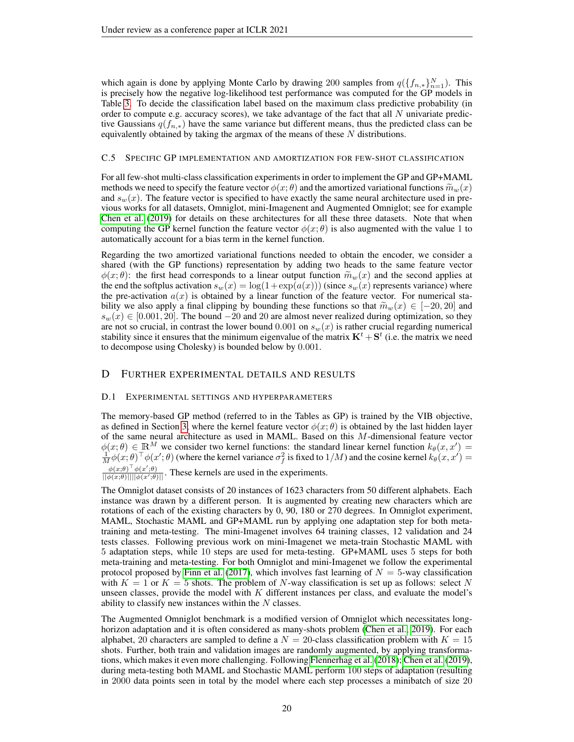which again is done by applying Monte Carlo by drawing 200 samples from  $q(\lbrace f_{n,*}\rbrace_{n=1}^N)$ . This is precisely how the negative log-likelihood test performance was computed for the GP models in Table [3.](#page-8-0) To decide the classification label based on the maximum class predictive probability (in order to compute e.g. accuracy scores), we take advantage of the fact that all  $N$  univariate predictive Gaussians  $q(f_{n,*})$  have the same variance but different means, thus the predicted class can be equivalently obtained by taking the argmax of the means of these  $N$  distributions.

#### C.5 SPECIFIC GP IMPLEMENTATION AND AMORTIZATION FOR FEW-SHOT CLASSIFICATION

For all few-shot multi-class classification experiments in order to implement the GP and GP+MAML methods we need to specify the feature vector  $\phi(x;\theta)$  and the amortized variational functions  $\widetilde{m}_{w}(x)$ and  $s_w(x)$ . The feature vector is specified to have exactly the same neural architecture used in previous works for all datasets, Omniglot, mini-Imagenent and Augmented Omniglot; see for example [Chen et al.](#page-9-14) [\(2019\)](#page-9-14) for details on these architectures for all these three datasets. Note that when computing the GP kernel function the feature vector  $\phi(x;\theta)$  is also augmented with the value 1 to automatically account for a bias term in the kernel function.

Regarding the two amortized variational functions needed to obtain the encoder, we consider a shared (with the GP functions) representation by adding two heads to the same feature vector  $\phi(x;\theta)$ : the first head corresponds to a linear output function  $\tilde{m}_w(x)$  and the second applies at the end the softplus activation  $s_w(x) = \log(1 + \exp(a(x)))$  (since  $s_w(x)$  represents variance) where the pre-activation  $a(x)$  is obtained by a linear function of the feature vector. For numerical stability we also apply a final clipping by bounding these functions so that  $\widetilde{m}_w(x) \in [-20, 20]$  and  $s_w(x) \in [0.001, 20]$ . The bound  $-20$  and 20 are almost never realized during optimization, so they are not so crucial, in contrast the lower bound 0.001 on  $s_w(x)$  is rather crucial regarding numerical stability since it ensures that the minimum eigenvalue of the matrix  $K^t + S^t$  (i.e. the matrix we need to decompose using Cholesky) is bounded below by 0.001.

# <span id="page-19-0"></span>D FURTHER EXPERIMENTAL DETAILS AND RESULTS

## D.1 EXPERIMENTAL SETTINGS AND HYPERPARAMETERS

The memory-based GP method (referred to in the Tables as GP) is trained by the VIB objective, as defined in Section [3,](#page-3-0) where the kernel feature vector  $\phi(x;\theta)$  is obtained by the last hidden layer of the same neural architecture as used in MAML. Based on this M-dimensional feature vector  $\phi(x;\theta) \in \mathbb{R}^M$  we consider two kernel functions: the standard linear kernel function  $k_\theta(x,x') =$  $\frac{1}{M}\phi(x;\theta)^\top\phi(x';\theta)$  (where the kernel variance  $\sigma_f^2$  is fixed to  $1/M$ ) and the cosine kernel  $k_\theta(x,x')=0$  $\phi(x;\theta)^\top \phi(x';\theta)$  $\frac{\varphi(x;\theta) - \varphi(x;\theta)}{||\varphi(x;\theta)|| ||\varphi(x';\theta)||}$ . These kernels are used in the experiments.

The Omniglot dataset consists of 20 instances of 1623 characters from 50 different alphabets. Each instance was drawn by a different person. It is augmented by creating new characters which are rotations of each of the existing characters by 0, 90, 180 or 270 degrees. In Omniglot experiment, MAML, Stochastic MAML and GP+MAML run by applying one adaptation step for both metatraining and meta-testing. The mini-Imagenet involves 64 training classes, 12 validation and 24 tests classes. Following previous work on mini-Imagenet we meta-train Stochastic MAML with 5 adaptation steps, while 10 steps are used for meta-testing. GP+MAML uses 5 steps for both meta-training and meta-testing. For both Omniglot and mini-Imagenet we follow the experimental protocol proposed by [Finn et al.](#page-9-1) [\(2017\)](#page-9-1), which involves fast learning of  $N = 5$ -way classification with  $K = 1$  or  $K = 5$  shots. The problem of N-way classification is set up as follows: select N unseen classes, provide the model with  $K$  different instances per class, and evaluate the model's ability to classify new instances within the  $N$  classes.

The Augmented Omniglot benchmark is a modified version of Omniglot which necessitates long-horizon adaptation and it is often considered as many-shots problem [\(Chen et al., 2019\)](#page-9-14). For each alphabet, 20 characters are sampled to define a  $N = 20$ -class classification problem with  $K = 15$ shots. Further, both train and validation images are randomly augmented, by applying transformations, which makes it even more challenging. Following [Flennerhag et al.](#page-9-15) [\(2018\)](#page-9-15); [Chen et al.](#page-9-14) [\(2019\)](#page-9-14), during meta-testing both MAML and Stochastic MAML perform 100 steps of adaptation (resulting in 2000 data points seen in total by the model where each step processes a minibatch of size 20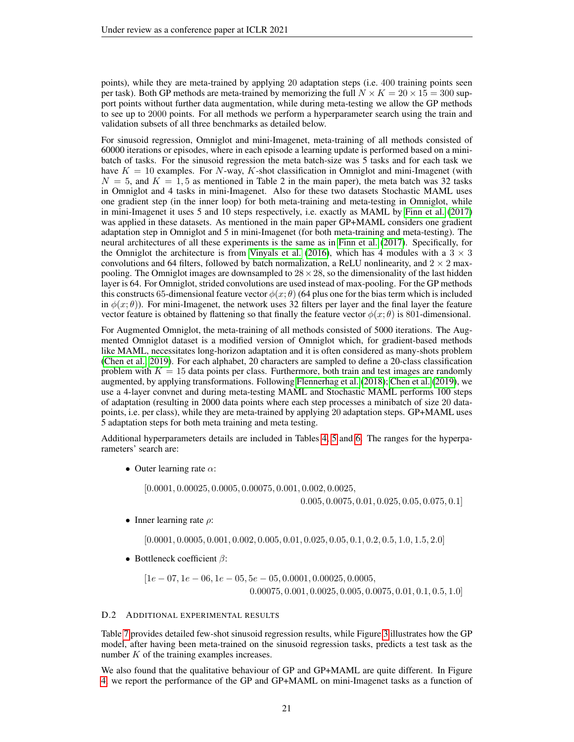points), while they are meta-trained by applying 20 adaptation steps (i.e. 400 training points seen per task). Both GP methods are meta-trained by memorizing the full  $N \times K = 20 \times 15 = 300$  support points without further data augmentation, while during meta-testing we allow the GP methods to see up to 2000 points. For all methods we perform a hyperparameter search using the train and validation subsets of all three benchmarks as detailed below.

For sinusoid regression, Omniglot and mini-Imagenet, meta-training of all methods consisted of 60000 iterations or episodes, where in each episode a learning update is performed based on a minibatch of tasks. For the sinusoid regression the meta batch-size was 5 tasks and for each task we have  $K = 10$  examples. For N-way, K-shot classification in Omniglot and mini-Imagenet (with  $N = 5$ , and  $K = 1, 5$  as mentioned in Table 2 in the main paper), the meta batch was 32 tasks in Omniglot and 4 tasks in mini-Imagenet. Also for these two datasets Stochastic MAML uses one gradient step (in the inner loop) for both meta-training and meta-testing in Omniglot, while in mini-Imagenet it uses 5 and 10 steps respectively, i.e. exactly as MAML by [Finn et al.](#page-9-1) [\(2017\)](#page-9-1) was applied in these datasets. As mentioned in the main paper GP+MAML considers one gradient adaptation step in Omniglot and 5 in mini-Imagenet (for both meta-training and meta-testing). The neural architectures of all these experiments is the same as in [Finn et al.](#page-9-1) [\(2017\)](#page-9-1). Specifically, for the Omniglot the architecture is from [Vinyals et al.](#page-10-1) [\(2016\)](#page-10-1), which has 4 modules with a  $3 \times 3$ convolutions and 64 filters, followed by batch normalization, a ReLU nonlinearity, and  $2 \times 2$  maxpooling. The Omniglot images are downsampled to  $28 \times 28$ , so the dimensionality of the last hidden layer is 64. For Omniglot, strided convolutions are used instead of max-pooling. For the GP methods this constructs 65-dimensional feature vector  $\phi(x;\theta)$  (64 plus one for the bias term which is included in  $\phi(x;\theta)$ ). For mini-Imagenet, the network uses 32 filters per layer and the final layer the feature vector feature is obtained by flattening so that finally the feature vector  $\phi(x;\theta)$  is 801-dimensional.

For Augmented Omniglot, the meta-training of all methods consisted of 5000 iterations. The Augmented Omniglot dataset is a modified version of Omniglot which, for gradient-based methods like MAML, necessitates long-horizon adaptation and it is often considered as many-shots problem [\(Chen et al., 2019\)](#page-9-14). For each alphabet, 20 characters are sampled to define a 20-class classification problem with  $K = 15$  data points per class. Furthermore, both train and test images are randomly augmented, by applying transformations. Following [Flennerhag et al.](#page-9-15) [\(2018\)](#page-9-15); [Chen et al.](#page-9-14) [\(2019\)](#page-9-14), we use a 4-layer convnet and during meta-testing MAML and Stochastic MAML performs 100 steps of adaptation (resulting in 2000 data points where each step processes a minibatch of size 20 datapoints, i.e. per class), while they are meta-trained by applying 20 adaptation steps. GP+MAML uses 5 adaptation steps for both meta training and meta testing.

Additional hyperparameters details are included in Tables [4,](#page-21-0) [5](#page-21-1) and [6.](#page-22-0) The ranges for the hyperparameters' search are:

• Outer learning rate  $\alpha$ :

[0.0001, 0.00025, 0.0005, 0.00075, 0.001, 0.002, 0.0025,

0.005, 0.0075, 0.01, 0.025, 0.05, 0.075, 0.1]

• Inner learning rate  $\rho$ :

[0.0001, 0.0005, 0.001, 0.002, 0.005, 0.01, 0.025, 0.05, 0.1, 0.2, 0.5, 1.0, 1.5, 2.0]

• Bottleneck coefficient  $\beta$ :

$$
[1e-07, 1e-06, 1e-05, 5e-05, 0.0001, 0.00025, 0.0005,
$$
  
0.00075, 0.001, 0.0025, 0.005, 0.0075, 0.01, 0.1, 0.5, 1.0]

#### <span id="page-20-0"></span>D.2 ADDITIONAL EXPERIMENTAL RESULTS

Table [7](#page-23-2) provides detailed few-shot sinusoid regression results, while Figure [3](#page-23-0) illustrates how the GP model, after having been meta-trained on the sinusoid regression tasks, predicts a test task as the number K of the training examples increases.

We also found that the qualitative behaviour of GP and GP+MAML are quite different. In Figure [4,](#page-23-1) we report the performance of the GP and GP+MAML on mini-Imagenet tasks as a function of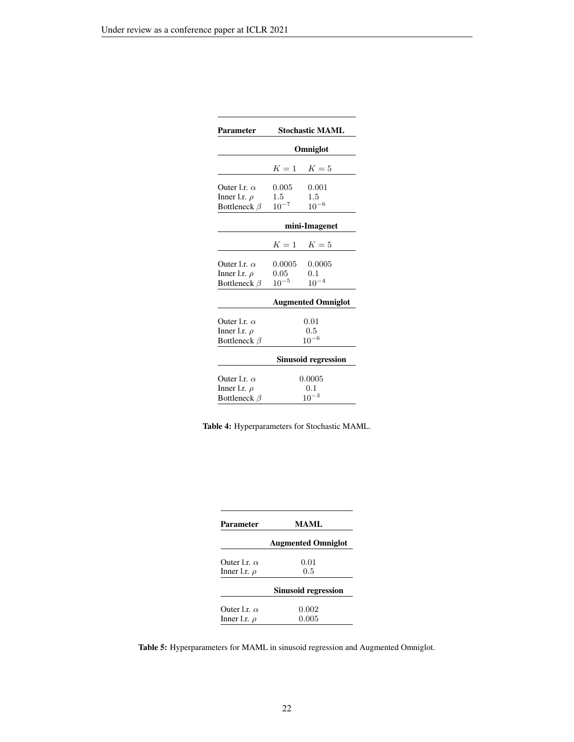<span id="page-21-0"></span>

| Parameter           | <b>Stochastic MAML</b> |                           |  |  |
|---------------------|------------------------|---------------------------|--|--|
|                     |                        | Omniglot                  |  |  |
|                     |                        | $K=1$ $K=5$               |  |  |
| Outer l.r. $\alpha$ | 0.005                  | 0.001                     |  |  |
| Inner l.r. $\rho$   | $1.5\,$                | $1.5\,$                   |  |  |
| Bottleneck $\beta$  | $10^{-7}$              | $10^{-6}$                 |  |  |
|                     |                        | mini-Imagenet             |  |  |
|                     | $K=1$                  | $K=5$                     |  |  |
| Outer 1.r. $\alpha$ | 0.0005                 | 0.0005                    |  |  |
| Inner l.r. $\rho$   | 0.05                   | 0.1                       |  |  |
| Bottleneck $\beta$  | $10^{-5}$              | $10^{-4}$                 |  |  |
|                     |                        | <b>Augmented Omniglot</b> |  |  |
| Outer 1.r. $\alpha$ |                        | 0.01                      |  |  |
| Inner l.r. $\rho$   |                        | 0.5                       |  |  |
| Bottleneck $\beta$  |                        | $10^{-6}$                 |  |  |
|                     |                        | Sinusoid regression       |  |  |
| Outer l.r. $\alpha$ |                        | 0.0005                    |  |  |
| Inner l.r. $\rho$   |                        | 0.1                       |  |  |
| Bottleneck $\beta$  |                        | $10^{-3}$                 |  |  |

|  | Table 4: Hyperparameters for Stochastic MAML. |  |  |
|--|-----------------------------------------------|--|--|
|--|-----------------------------------------------|--|--|

<span id="page-21-1"></span>

| <b>Parameter</b>    | <b>MAML</b>                |  |  |  |
|---------------------|----------------------------|--|--|--|
|                     | <b>Augmented Omniglot</b>  |  |  |  |
| Outer Lr. $\alpha$  | 0.01                       |  |  |  |
| Inner l.r. $\rho$   | 0.5                        |  |  |  |
|                     | <b>Sinusoid regression</b> |  |  |  |
| Outer 1.r. $\alpha$ | 0.002                      |  |  |  |
| Inner l.r. $\rho$   | 0.005                      |  |  |  |

Table 5: Hyperparameters for MAML in sinusoid regression and Augmented Omniglot.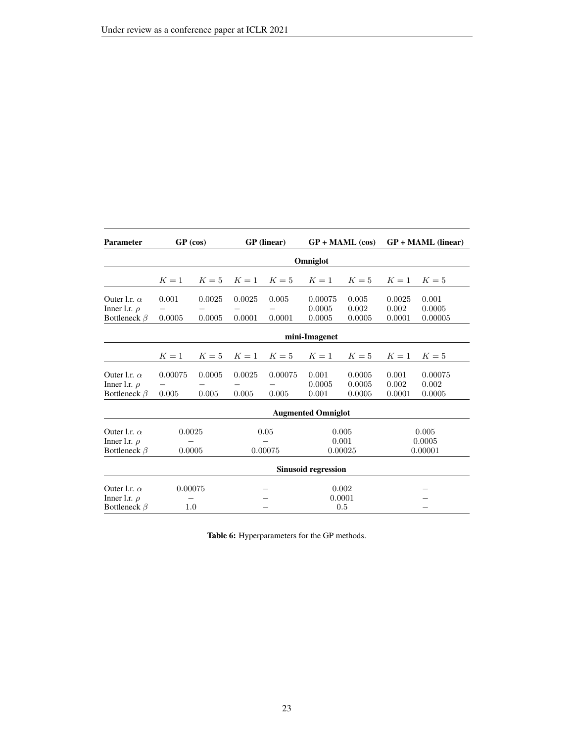<span id="page-22-0"></span>

| <b>Parameter</b>                                               | <b>GP</b> (linear)<br>GP (cos)<br>$GP + MAML$ (cos) |                  |                           | $GP + MAML$ (linear) |                             |                            |                           |                            |  |  |  |
|----------------------------------------------------------------|-----------------------------------------------------|------------------|---------------------------|----------------------|-----------------------------|----------------------------|---------------------------|----------------------------|--|--|--|
|                                                                |                                                     |                  | Omniglot                  |                      |                             |                            |                           |                            |  |  |  |
|                                                                | $K=1$                                               | $K=5$            | $K=1$                     | $K=5$                | $K=1$                       | $K=5$                      | $K=1$                     | $K=5$                      |  |  |  |
| Outer l.r. $\alpha$<br>Inner l.r. $\rho$<br>Bottleneck $\beta$ | 0.001<br>0.0005                                     | 0.0025<br>0.0005 | 0.0025<br>0.0001          | 0.005<br>0.0001      | 0.00075<br>0.0005<br>0.0005 | 0.005<br>0.002<br>0.0005   | 0.0025<br>0.002<br>0.0001 | 0.001<br>0.0005<br>0.00005 |  |  |  |
|                                                                |                                                     |                  |                           |                      | mini-Imagenet               |                            |                           |                            |  |  |  |
|                                                                | $K=1$                                               | $K=5$            | $K=1$                     | $K=5$                | $K=1$                       | $K=5$                      | $K=1$                     | $K=5$                      |  |  |  |
| Outer l.r. $\alpha$<br>Inner l.r. $\rho$<br>Bottleneck $\beta$ | 0.00075<br>0.005                                    | 0.0005<br>0.005  | 0.0025<br>0.005           | 0.00075<br>0.005     | 0.001<br>0.0005<br>0.001    | 0.0005<br>0.0005<br>0.0005 | 0.001<br>0.002<br>0.0001  | 0.00075<br>0.002<br>0.0005 |  |  |  |
|                                                                |                                                     |                  |                           |                      | <b>Augmented Omniglot</b>   |                            |                           |                            |  |  |  |
| Outer 1.r. $\alpha$<br>Inner l.r. $\rho$<br>Bottleneck $\beta$ | 0.0025<br>0.05<br>0.00075<br>0.0005                 |                  | 0.005<br>0.001<br>0.00025 |                      | 0.005<br>0.0005<br>0.00001  |                            |                           |                            |  |  |  |
|                                                                |                                                     |                  |                           |                      | <b>Sinusoid regression</b>  |                            |                           |                            |  |  |  |
| Outer l.r. $\alpha$<br>Inner l.r. $\rho$<br>Bottleneck $\beta$ | 0.00075<br>1.0                                      |                  |                           |                      | 0.002<br>0.0001<br>0.5      |                            |                           |                            |  |  |  |

Table 6: Hyperparameters for the GP methods.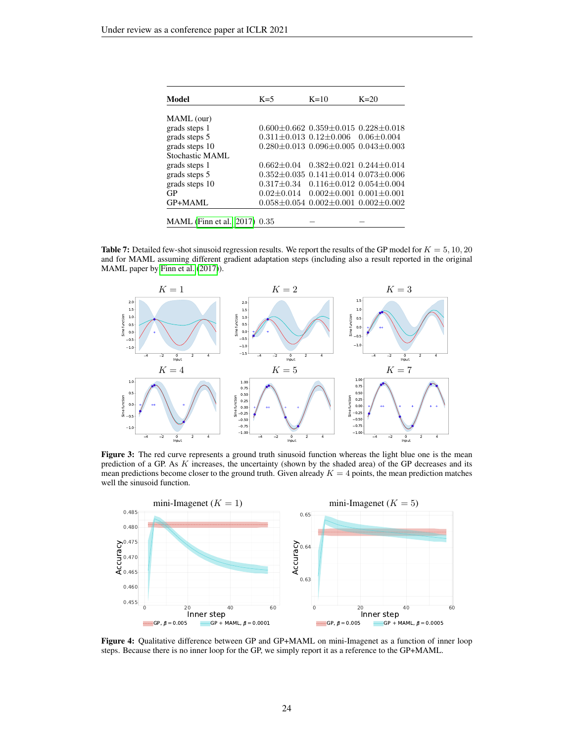<span id="page-23-2"></span>

| Model                         | $K=5$          | $K=10$                                                | $K=20$                          |
|-------------------------------|----------------|-------------------------------------------------------|---------------------------------|
|                               |                |                                                       |                                 |
| MAML (our)                    |                |                                                       |                                 |
| grads steps 1                 |                | $0.600 \pm 0.662$ $0.359 \pm 0.015$ $0.228 \pm 0.018$ |                                 |
| grads steps 5                 |                | $0.311 \pm 0.013$ $0.12 \pm 0.006$ $0.06 \pm 0.004$   |                                 |
| grads steps 10                |                | $0.280 + 0.013$ $0.096 + 0.005$ $0.043 + 0.003$       |                                 |
| Stochastic MAML               |                |                                                       |                                 |
| grads steps 1                 | $0.662 + 0.04$ |                                                       | $0.382 + 0.021$ $0.244 + 0.014$ |
| grads steps 5                 |                | $0.352 \pm 0.035$ $0.141 \pm 0.014$ $0.073 \pm 0.006$ |                                 |
| grads steps 10                |                | $0.317 + 0.34$ $0.116 + 0.012$ $0.054 + 0.004$        |                                 |
| GP                            |                | $0.02 \pm 0.014$ $0.002 \pm 0.001$ $0.001 \pm 0.001$  |                                 |
| GP+MAML                       |                | $0.058 \pm 0.054$ $0.002 \pm 0.001$ $0.002 \pm 0.002$ |                                 |
|                               |                |                                                       |                                 |
| MAML (Finn et al., 2017) 0.35 |                |                                                       |                                 |

**Table 7:** Detailed few-shot sinusoid regression results. We report the results of the GP model for  $K = 5, 10, 20$ and for MAML assuming different gradient adaptation steps (including also a result reported in the original MAML paper by [Finn et al.](#page-9-1) [\(2017\)](#page-9-1)).

<span id="page-23-0"></span>

Figure 3: The red curve represents a ground truth sinusoid function whereas the light blue one is the mean prediction of a GP. As K increases, the uncertainty (shown by the shaded area) of the GP decreases and its mean predictions become closer to the ground truth. Given already  $K = 4$  points, the mean prediction matches well the sinusoid function.

<span id="page-23-1"></span>

Figure 4: Qualitative difference between GP and GP+MAML on mini-Imagenet as a function of inner loop steps. Because there is no inner loop for the GP, we simply report it as a reference to the GP+MAML.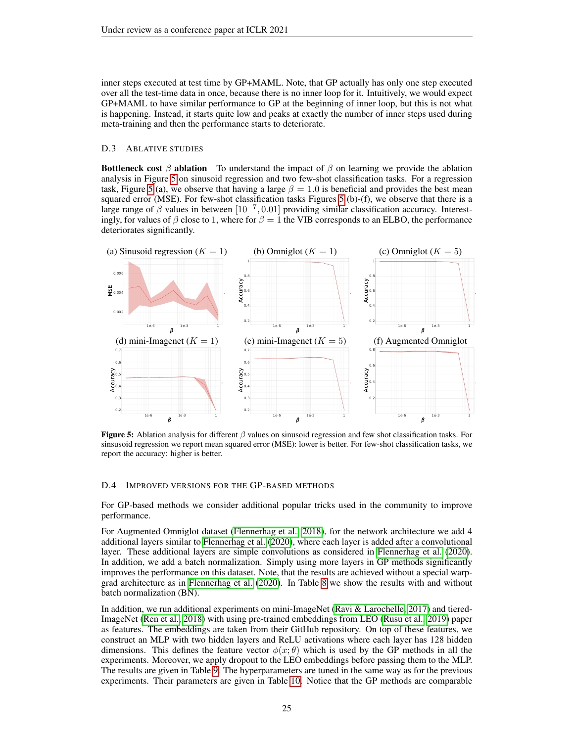inner steps executed at test time by GP+MAML. Note, that GP actually has only one step executed over all the test-time data in once, because there is no inner loop for it. Intuitively, we would expect GP+MAML to have similar performance to GP at the beginning of inner loop, but this is not what is happening. Instead, it starts quite low and peaks at exactly the number of inner steps used during meta-training and then the performance starts to deteriorate.

## <span id="page-24-1"></span>D.3 ABLATIVE STUDIES

**Bottleneck cost**  $\beta$  **ablation** To understand the impact of  $\beta$  on learning we provide the ablation analysis in Figure [5](#page-24-2) on sinusoid regression and two few-shot classification tasks. For a regression task, Figure [5](#page-24-2) (a), we observe that having a large  $\beta = 1.0$  is beneficial and provides the best mean squared error (MSE). For few-shot classification tasks Figures [5](#page-24-2) (b)-(f), we observe that there is a large range of  $\beta$  values in between  $[10^{-7}, 0.01]$  providing similar classification accuracy. Interestingly, for values of  $\beta$  close to 1, where for  $\beta = 1$  the VIB corresponds to an ELBO, the performance deteriorates significantly.

<span id="page-24-2"></span>

**Figure 5:** Ablation analysis for different  $\beta$  values on sinusoid regression and few shot classification tasks. For sinsusoid regression we report mean squared error (MSE): lower is better. For few-shot classification tasks, we report the accuracy: higher is better.

#### <span id="page-24-0"></span>D.4 IMPROVED VERSIONS FOR THE GP-BASED METHODS

For GP-based methods we consider additional popular tricks used in the community to improve performance.

For Augmented Omniglot dataset [\(Flennerhag et al., 2018\)](#page-9-15), for the network architecture we add 4 additional layers similar to [Flennerhag et al.](#page-9-16) [\(2020\)](#page-9-16), where each layer is added after a convolutional layer. These additional layers are simple convolutions as considered in [Flennerhag et al.](#page-9-16) [\(2020\)](#page-9-16). In addition, we add a batch normalization. Simply using more layers in GP methods significantly improves the performance on this dataset. Note, that the results are achieved without a special warpgrad architecture as in [Flennerhag et al.](#page-9-16) [\(2020\)](#page-9-16). In Table [8](#page-25-0) we show the results with and without batch normalization (BN).

In addition, we run additional experiments on mini-ImageNet [\(Ravi & Larochelle, 2017\)](#page-10-0) and tiered-ImageNet [\(Ren et al., 2018\)](#page-10-18) with using pre-trained embeddings from LEO [\(Rusu et al., 2019\)](#page-10-19) paper as features. The embeddings are taken from their GitHub repository. On top of these features, we construct an MLP with two hidden layers and ReLU activations where each layer has 128 hidden dimensions. This defines the feature vector  $\phi(x;\theta)$  which is used by the GP methods in all the experiments. Moreover, we apply dropout to the LEO embeddings before passing them to the MLP. The results are given in Table [9.](#page-25-1) The hyperparameters are tuned in the same way as for the previous experiments. Their parameters are given in Table [10.](#page-25-2) Notice that the GP methods are comparable